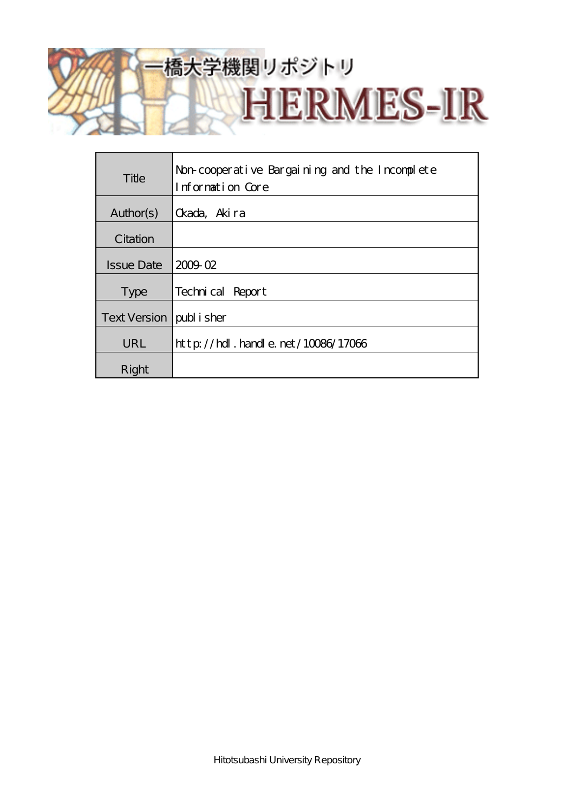# 橋大学機関リポジトリ

**HERMES-IR** 

**Title** Non-cooperative Bargaining and the Incomplete Information Core Author(s)  $\alpha$ ada, Akira **C**itation Issue Date  $200902$ Type Technical Report Text Version | publisher

URL http://hdl.handle.net/10086/17066

Right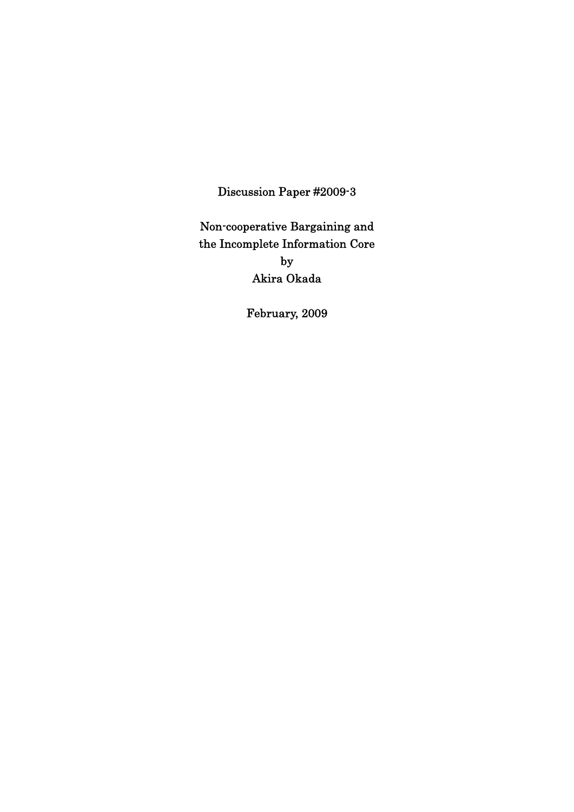Discussion Paper #2009-3

Non-cooperative Bargaining and the Incomplete Information Core by Akira Okada

February, 2009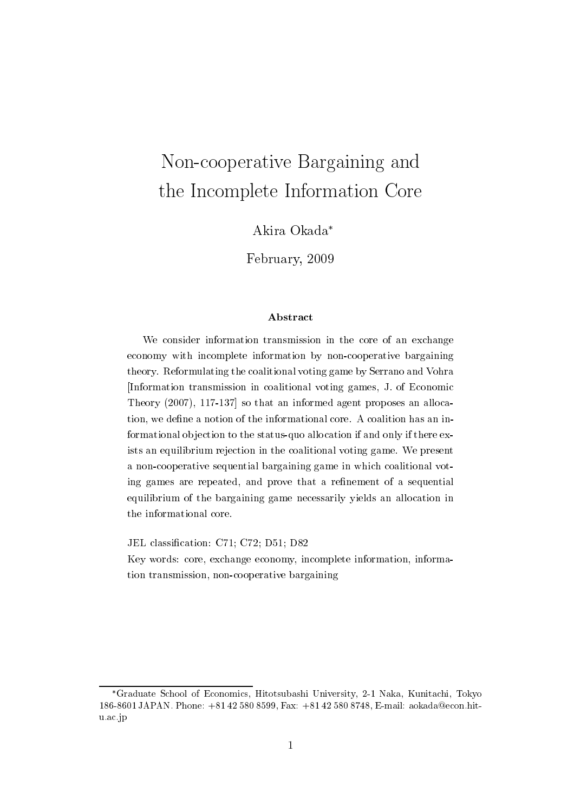# Non-cooperative Bargaining and the Incomplete Information Core

Akira Okada\*

February, 2009

### **A** bstract

We consider information transmission in the core of an exchange economy with incomplete information by non-cooperative bargaining theory. Reformulating the coalitional voting game by Serrano and Vohra Information transmission in coalitional voting games, J. of Economic Theory  $(2007)$ , 117-137 so that an informed agent proposes an allocation, we define a notion of the informational core. A coalition has an informational objection to the status-quo allocation if and only if there exists an equilibrium rejection in the coalitional voting game. We present a non-cooperative sequential bargaining game in which coalitional voting games are repeated, and prove that a refinement of a sequential equilibrium of the bargaining game necessarily yields an allocation in the informational core.

JEL classification: C71; C72; D51; D82

Key words: core, exchange economy, incomplete information, information transmission, non-cooperative bargaining

<sup>\*</sup>Graduate School of Economics, Hitotsubashi University, 2-1 Naka, Kunitachi, Tokyo 186-8601 JAPAN. Phone: +81 42 580 8599, Fax: +81 42 580 8748, E-mail: aokada@econ.hitu.ac.jp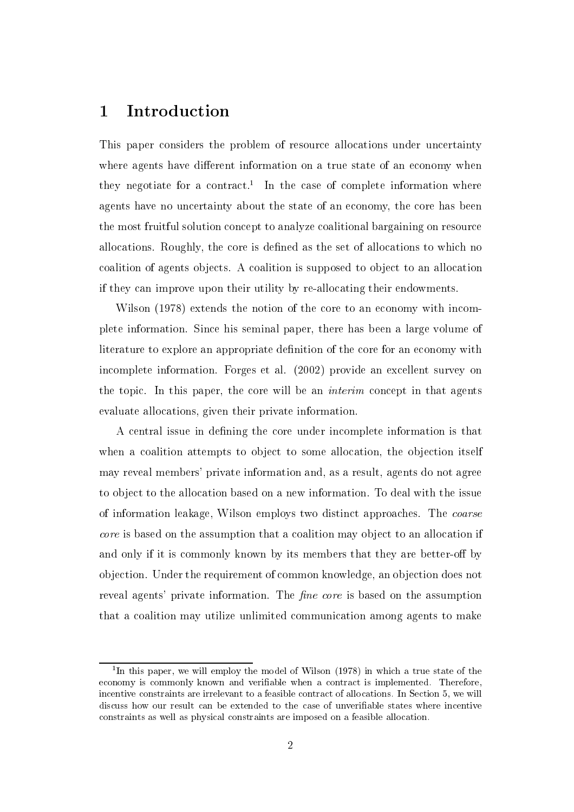#### **Introduction**  $\mathbf{1}$

This paper considers the problem of resource allocations under uncertainty where agents have different information on a true state of an economy when they negotiate for a contract.<sup>1</sup> In the case of complete information where agents have no uncertainty about the state of an economy, the core has been the most fruitful solution concept to analyze coalitional bargaining on resource allocations. Roughly, the core is defined as the set of allocations to which no coalition of agents objects. A coalition is supposed to object to an allocation if they can improve upon their utility by re-allocating their endowments.

Wilson (1978) extends the notion of the core to an economy with incomplete information. Since his seminal paper, there has been a large volume of literature to explore an appropriate definition of the core for an economy with incomplete information. Forges et al. (2002) provide an excellent survey on the topic. In this paper, the core will be an *interim* concept in that agents evaluate allocations, given their private information.

A central issue in defining the core under incomplete information is that when a coalition attempts to object to some allocation, the objection itself may reveal members' private information and, as a result, agents do not agree to object to the allocation based on a new information. To deal with the issue of information leakage, Wilson employs two distinct approaches. The coarse *core* is based on the assumption that a coalition may object to an allocation if and only if it is commonly known by its members that they are better-off by objection. Under the requirement of common knowledge, an objection does not reveal agents' private information. The *fine core* is based on the assumption that a coalition may utilize unlimited communication among agents to make

<sup>&</sup>lt;sup>1</sup>In this paper, we will employ the model of Wilson (1978) in which a true state of the economy is commonly known and verifiable when a contract is implemented. Therefore, incentive constraints are irrelevant to a feasible contract of allocations. In Section 5, we will discuss how our result can be extended to the case of unverifiable states where incentive constraints as well as physical constraints are imposed on a feasible allocation.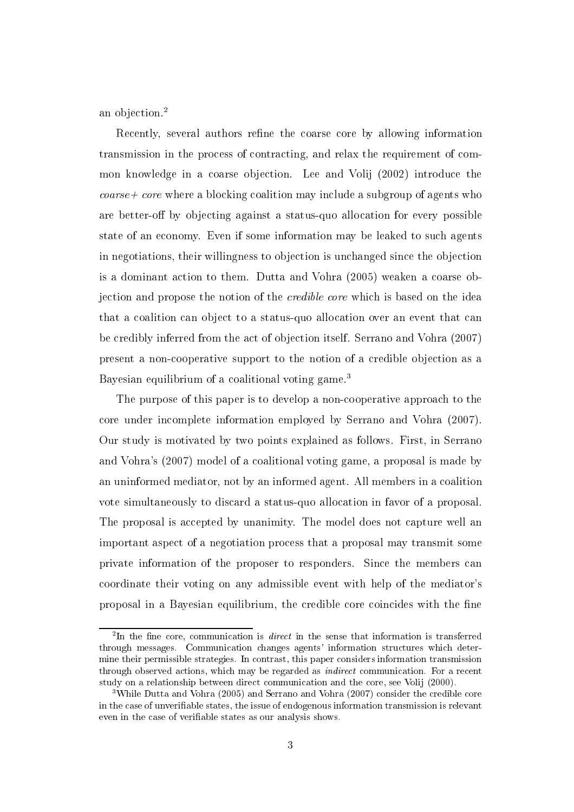an objection. $^{2}$ 

Recently, several authors refine the coarse core by allowing information transmission in the process of contracting, and relax the requirement of common knowledge in a coarse objection. Lee and Volij (2002) introduce the  $coarse + core$  where a blocking coalition may include a subgroup of agents who are better-off by objecting against a status-quo allocation for every possible state of an economy. Even if some information may be leaked to such agents in negotiations, their willingness to objection is unchanged since the objection is a dominant action to them. Dutta and Vohra (2005) weaken a coarse objection and propose the notion of the *credible core* which is based on the idea that a coalition can object to a status-quo allocation over an event that can be credibly inferred from the act of objection itself. Serrano and Vohra (2007) present a non-cooperative support to the notion of a credible objection as a Bayesian equilibrium of a coalitional voting game.<sup>3</sup>

The purpose of this paper is to develop a non-cooperative approach to the core under incomplete information employed by Serrano and Vohra (2007). Our study is motivated by two points explained as follows. First, in Serrano and Vohra's (2007) model of a coalitional voting game, a proposal is made by an uninformed mediator, not by an informed agent. All members in a coalition vote simultaneously to discard a status-quo allocation in favor of a proposal. The proposal is accepted by unanimity. The model does not capture well an important aspect of a negotiation process that a proposal may transmit some private information of the proposer to responders. Since the members can coordinate their voting on any admissible event with help of the mediator's proposal in a Bayesian equilibrium, the credible core coincides with the fine

<sup>&</sup>lt;sup>2</sup>In the fine core, communication is *direct* in the sense that information is transferred through messages. Communication changes agents' information structures which determine their permissible strategies. In contrast, this paper considers information transmission through observed actions, which may be regarded as *indirect* communication. For a recent study on a relationship between direct communication and the core, see Volij (2000).

<sup>&</sup>lt;sup>3</sup>While Dutta and Vohra (2005) and Serrano and Vohra (2007) consider the credible core in the case of unverifiable states, the issue of endogenous information transmission is relevant even in the case of verifiable states as our analysis shows.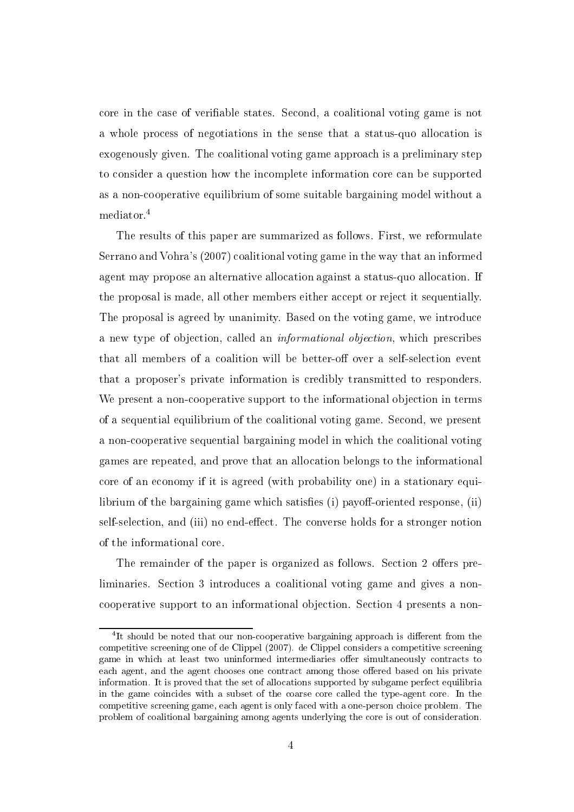core in the case of verifiable states. Second, a coalitional voting game is not a whole process of negotiations in the sense that a status-quo allocation is exogenously given. The coalitional voting game approach is a preliminary step to consider a question how the incomplete information core can be supported as a non-cooperative equilibrium of some suitable bargaining model without a mediator.<sup>4</sup>

The results of this paper are summarized as follows. First, we reformulate Serrano and Vohra's (2007) coalitional voting game in the way that an informed agent may propose an alternative allocation against a status-quo allocation. If the proposal is made, all other members either accept or reject it sequentially. The proposal is agreed by unanimity. Based on the voting game, we introduce a new type of objection, called an *informational objection*, which prescribes that all members of a coalition will be better-off over a self-selection event that a proposer's private information is credibly transmitted to responders. We present a non-cooperative support to the informational objection in terms of a sequential equilibrium of the coalitional voting game. Second, we present a non-cooperative sequential bargaining model in which the coalitional voting games are repeated, and prove that an allocation belongs to the informational core of an economy if it is agreed (with probability one) in a stationary equilibrium of the bargaining game which satisfies (i) payoff-oriented response, (ii) self-selection, and (iii) no end-effect. The converse holds for a stronger notion of the informational core.

The remainder of the paper is organized as follows. Section 2 offers preliminaries. Section 3 introduces a coalitional voting game and gives a noncooperative support to an informational objection. Section 4 presents a non-

<sup>&</sup>lt;sup>4</sup>It should be noted that our non-cooperative bargaining approach is different from the competitive screening one of de Clippel (2007). de Clippel considers a competitive screening game in which at least two uninformed intermediaries offer simultaneously contracts to each agent, and the agent chooses one contract among those offered based on his private information. It is proved that the set of allocations supported by subgame perfect equilibria in the game coincides with a subset of the coarse core called the type-agent core. In the competitive screening game, each agent is only faced with a one-person choice problem. The problem of coalitional bargaining among agents underlying the core is out of consideration.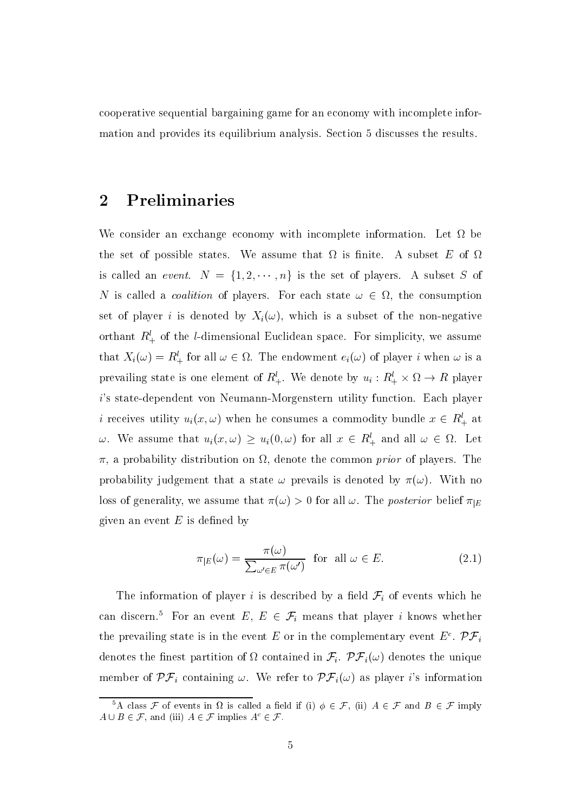cooperative sequential bargaining game for an economy with incomplete information and provides its equilibrium analysis. Section 5 discusses the results.

#### Preliminaries  $\boldsymbol{2}$

We consider an exchange economy with incomplete information. Let  $\Omega$  be the set of possible states. We assume that  $\Omega$  is finite. A subset E of  $\Omega$ is called an *event.*  $N = \{1, 2, \dots, n\}$  is the set of players. A subset S of N is called a *coalition* of players. For each state  $\omega \in \Omega$ , the consumption set of player i is denoted by  $X_i(\omega)$ , which is a subset of the non-negative orthant  $R_+^l$  of the *l*-dimensional Euclidean space. For simplicity, we assume that  $X_i(\omega) = R_+^l$  for all  $\omega \in \Omega$ . The endowment  $e_i(\omega)$  of player i when  $\omega$  is a prevailing state is one element of  $R_+^l$ . We denote by  $u_i: R_+^l \times \Omega \to R$  player i's state-dependent von Neumann-Morgenstern utility function. Each player *i* receives utility  $u_i(x, \omega)$  when he consumes a commodity bundle  $x \in R_+^l$  at  $\omega$ . We assume that  $u_i(x,\omega) \geq u_i(0,\omega)$  for all  $x \in R_+^l$  and all  $\omega \in \Omega$ . Let  $\pi$ , a probability distribution on  $\Omega$ , denote the common *prior* of players. The probability judgement that a state  $\omega$  prevails is denoted by  $\pi(\omega)$ . With no loss of generality, we assume that  $\pi(\omega) > 0$  for all  $\omega$ . The *posterior* belief  $\pi_{E}$ given an event  $E$  is defined by

$$
\pi_{|E}(\omega) = \frac{\pi(\omega)}{\sum_{\omega' \in E} \pi(\omega')} \quad \text{for all } \omega \in E. \tag{2.1}
$$

The information of player i is described by a field  $\mathcal{F}_i$  of events which he can discern.<sup>5</sup> For an event E,  $E \in \mathcal{F}_i$  means that player i knows whether the prevailing state is in the event E or in the complementary event  $E^c$ .  $\mathcal{PF}_i$ denotes the finest partition of  $\Omega$  contained in  $\mathcal{F}_i$ .  $\mathcal{PF}_i(\omega)$  denotes the unique member of  $\mathcal{PF}_i$  containing  $\omega$ . We refer to  $\mathcal{PF}_i(\omega)$  as player i's information

<sup>&</sup>lt;sup>5</sup>A class  $\mathcal F$  of events in  $\Omega$  is called a field if (i)  $\phi \in \mathcal F$ , (ii)  $A \in \mathcal F$  and  $B \in \mathcal F$  imply  $A \cup B \in \mathcal{F}$ , and (iii)  $A \in \mathcal{F}$  implies  $A^c \in \mathcal{F}$ .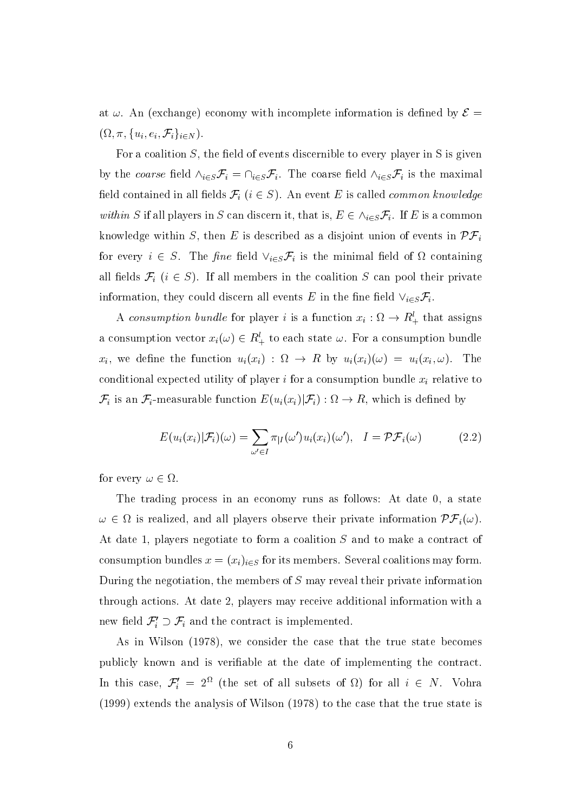at  $\omega$ . An (exchange) economy with incomplete information is defined by  $\mathcal{E} =$  $(\Omega, \pi, \{u_i, e_i, \mathcal{F}_i\}_{i \in N}).$ 

For a coalition  $S$ , the field of events discernible to every player in  $S$  is given by the coarse field  $\wedge_{i\in S} \mathcal{F}_i = \cap_{i\in S} \mathcal{F}_i$ . The coarse field  $\wedge_{i\in S} \mathcal{F}_i$  is the maximal field contained in all fields  $\mathcal{F}_i$  ( $i \in S$ ). An event E is called *common knowledge* within S if all players in S can discern it, that is,  $E \in \wedge_{i \in S} \mathcal{F}_i$ . If E is a common knowledge within S, then E is described as a disjoint union of events in  $\mathcal{PF}_i$ for every  $i \in S$ . The fine field  $\vee_{i \in S} \mathcal{F}_i$  is the minimal field of  $\Omega$  containing all fields  $\mathcal{F}_i$  ( $i \in S$ ). If all members in the coalition S can pool their private information, they could discern all events E in the fine field  $\vee_{i\in S} \mathcal{F}_i$ .

A consumption bundle for player i is a function  $x_i : \Omega \to R_+^l$  that assigns a consumption vector  $x_i(\omega) \in R_+^l$  to each state  $\omega$ . For a consumption bundle  $x_i$ , we define the function  $u_i(x_i)$ :  $\Omega \to R$  by  $u_i(x_i)(\omega) = u_i(x_i, \omega)$ . The conditional expected utility of player i for a consumption bundle  $x_i$  relative to  $\mathcal{F}_i$  is an  $\mathcal{F}_i$ -measurable function  $E(u_i(x_i)|\mathcal{F}_i): \Omega \to R$ , which is defined by

$$
E(u_i(x_i)|\mathcal{F}_i)(\omega) = \sum_{\omega' \in I} \pi_{|I}(\omega')u_i(x_i)(\omega'), \quad I = \mathcal{PF}_i(\omega)
$$
 (2.2)

for every  $\omega \in \Omega$ .

The trading process in an economy runs as follows: At date 0, a state  $\omega \in \Omega$  is realized, and all players observe their private information  $\mathcal{PF}_i(\omega)$ . At date 1, players negotiate to form a coalition S and to make a contract of consumption bundles  $x = (x_i)_{i \in S}$  for its members. Several coalitions may form. During the negotiation, the members of  $S$  may reveal their private information through actions. At date 2, players may receive additional information with a new field  $\mathcal{F}'_i \supset \mathcal{F}_i$  and the contract is implemented.

As in Wilson (1978), we consider the case that the true state becomes publicly known and is verifiable at the date of implementing the contract In this case,  $\mathcal{F}'_i = 2^{\Omega}$  (the set of all subsets of  $\Omega$ ) for all  $i \in N$ . Vohra  $(1999)$  extends the analysis of Wilson  $(1978)$  to the case that the true state is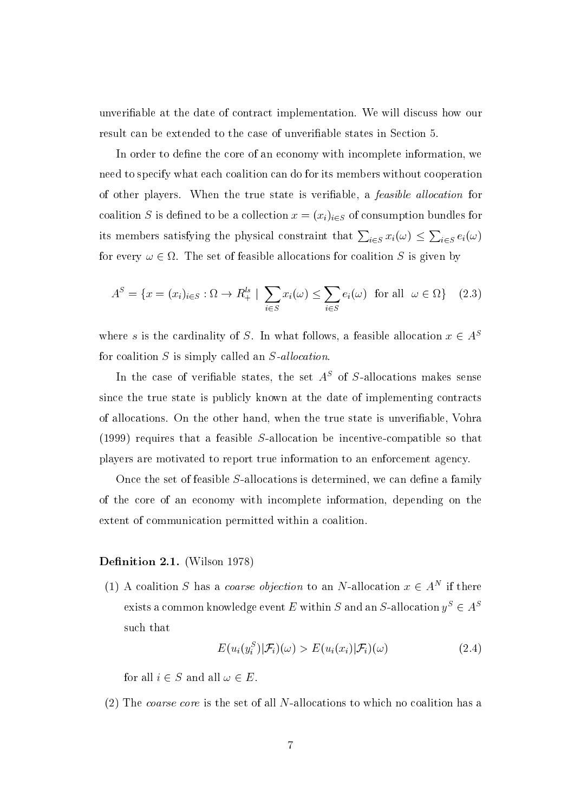unverifiable at the date of contract implementation. We will discuss how our result can be extended to the case of unverifiable states in Section 5.

In order to define the core of an economy with incomplete information, we need to specify what each coalition can do for its members without cooperation of other players. When the true state is verifiable, a *feasible allocation* for coalition S is defined to be a collection  $x = (x_i)_{i \in S}$  of consumption bundles for its members satisfying the physical constraint that  $\sum_{i \in S} x_i(\omega) \le \sum_{i \in S} e_i(\omega)$ for every  $\omega \in \Omega$ . The set of feasible allocations for coalition S is given by

$$
A^{S} = \{x = (x_{i})_{i \in S} : \Omega \to R_{+}^{ls} \mid \sum_{i \in S} x_{i}(\omega) \le \sum_{i \in S} e_{i}(\omega) \text{ for all } \omega \in \Omega\}
$$
 (2.3)

where s is the cardinality of S. In what follows, a feasible allocation  $x \in A^S$ for coalition  $S$  is simply called an  $S$ -allocation.

In the case of verifiable states, the set  $A<sup>S</sup>$  of S-allocations makes sense since the true state is publicly known at the date of implementing contracts of allocations. On the other hand, when the true state is unverifiable, Vohra  $(1999)$  requires that a feasible S-allocation be incentive-compatible so that players are motivated to report true information to an enforcement agency.

Once the set of feasible S-allocations is determined, we can define a family of the core of an economy with incomplete information, depending on the extent of communication permitted within a coalition.

### **Definition 2.1.** (Wilson 1978)

(1) A coalition S has a *coarse objection* to an N-allocation  $x \in A^N$  if there exists a common knowledge event  $E$  within  $S$  and an  $S\text{-}\mathrm{allocation}\;y^S\in A^S$ such that

$$
E(u_i(y_i^S)|\mathcal{F}_i)(\omega) > E(u_i(x_i)|\mathcal{F}_i)(\omega)
$$
\n(2.4)

for all  $i \in S$  and all  $\omega \in E$ .

(2) The coarse core is the set of all N-allocations to which no coalition has a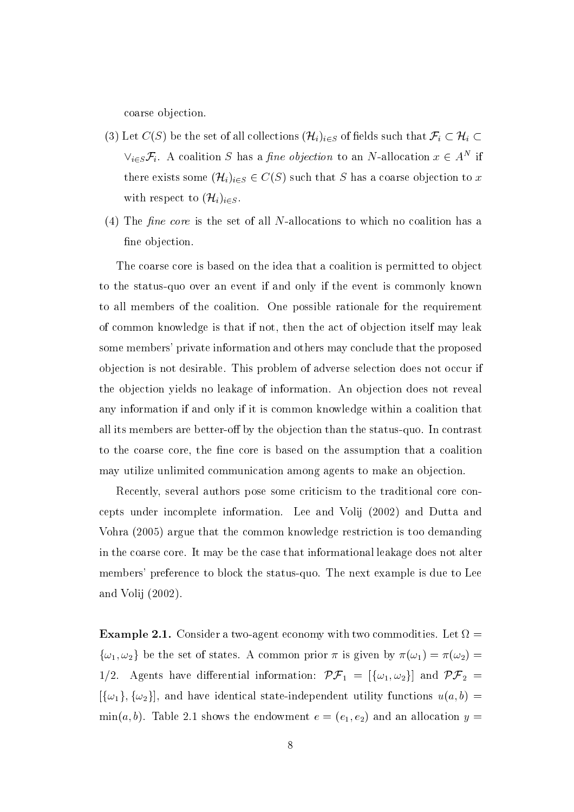coarse objection.

- (3) Let  $C(S)$  be the set of all collections  $(\mathcal{H}_i)_{i \in S}$  of fields such that  $\mathcal{F}_i \subset \mathcal{H}_i \subset$  $\vee_{i\in S}\mathcal{F}_{i}$ . A coalition S has a *fine objection* to an N-allocation  $x \in A^{N}$  if there exists some  $(\mathcal{H}_i)_{i \in S} \in C(S)$  such that S has a coarse objection to x with respect to  $(\mathcal{H}_i)_{i \in S}$ .
- (4) The *fine core* is the set of all N-allocations to which no coalition has a fine objection.

The coarse core is based on the idea that a coalition is permitted to object to the status-quo over an event if and only if the event is commonly known to all members of the coalition. One possible rationale for the requirement of common knowledge is that if not, then the act of objection itself may leak some members' private information and others may conclude that the proposed objection is not desirable. This problem of adverse selection does not occur if the objection vields no leakage of information. An objection does not reveal any information if and only if it is common knowledge within a coalition that all its members are better-off by the objection than the status-quo. In contrast to the coarse core, the fine core is based on the assumption that a coalition may utilize unlimited communication among agents to make an objection.

Recently, several authors pose some criticism to the traditional core concepts under incomplete information. Lee and Volij (2002) and Dutta and Vohra (2005) argue that the common knowledge restriction is too demanding in the coarse core. It may be the case that informational leakage does not alter members' preference to block the status-quo. The next example is due to Lee and Volij  $(2002)$ .

**Example 2.1.** Consider a two-agent economy with two commodities. Let  $\Omega =$  $\{\omega_1,\omega_2\}$  be the set of states. A common prior  $\pi$  is given by  $\pi(\omega_1) = \pi(\omega_2)$ 1/2. Agents have differential information:  $\mathcal{PF}_1 = [\{\omega_1, \omega_2\}]$  and  $\mathcal{PF}_2 =$  $[\{\omega_1\}, {\{\omega_2\}}]$ , and have identical state-independent utility functions  $u(a, b)$  =  $\min(a, b)$ . Table 2.1 shows the endowment  $e = (e_1, e_2)$  and an allocation  $y =$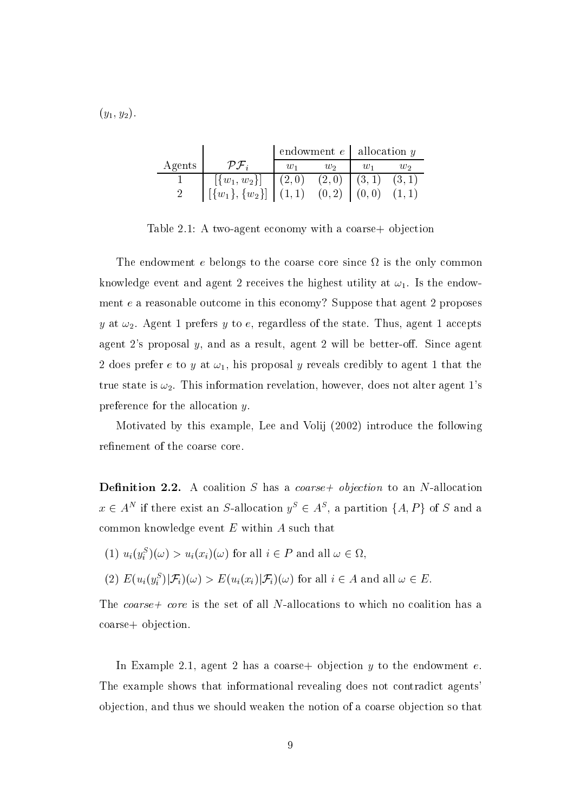$(y_1, y_2).$ 

|        |                                            | endowment $e$   allocation $y$ |       |                 |        |
|--------|--------------------------------------------|--------------------------------|-------|-----------------|--------|
| Agents | $\mathcal{P}\mathcal{F}_i$                 | $w_1$                          | $w_2$ | $\frac{1}{1}$   | W2     |
|        | $[\{w_1, w_2\}] \mid (2,0)$                |                                |       | $(2,0)$ $(3,1)$ | (3, 1) |
|        | $[\{w_1\}, \{w_2\}]   (1,1) (0,2)   (0,0)$ |                                |       |                 |        |

Table 2.1: A two-agent economy with a coarse + objection

The endowment e belongs to the coarse core since  $\Omega$  is the only common knowledge event and agent 2 receives the highest utility at  $\omega_1$ . Is the endowment  $e$  a reasonable outcome in this economy? Suppose that agent 2 proposes y at  $\omega_2$ . Agent 1 prefers y to e, regardless of the state. Thus, agent 1 accepts agent 2's proposal  $y$ , and as a result, agent 2 will be better-off. Since agent 2 does prefer e to y at  $\omega_1$ , his proposal y reveals credibly to agent 1 that the true state is  $\omega_2$ . This information revelation, however, does not alter agent 1's preference for the allocation  $y$ .

Motivated by this example, Lee and Volij (2002) introduce the following refinement of the coarse core.

**Definition 2.2.** A coalition  $S$  has a *coarse+* objection to an  $N$ -allocation  $x \in A^N$  if there exist an S-allocation  $y^S \in A^S$ , a partition  $\{A, P\}$  of S and a common knowledge event  $E$  within  $A$  such that

(1) 
$$
u_i(y_i^S)(\omega) > u_i(x_i)(\omega)
$$
 for all  $i \in P$  and all  $\omega \in \Omega$ ,

(2) 
$$
E(u_i(y_i^S)|\mathcal{F}_i)(\omega) > E(u_i(x_i)|\mathcal{F}_i)(\omega)
$$
 for all  $i \in A$  and all  $\omega \in E$ .

The coarse+ core is the set of all N-allocations to which no coalition has a coarse+ objection.

In Example 2.1, agent 2 has a coarse + objection  $y$  to the endowment  $e$ . The example shows that informational revealing does not contradict agents objection, and thus we should weaken the notion of a coarse objection so that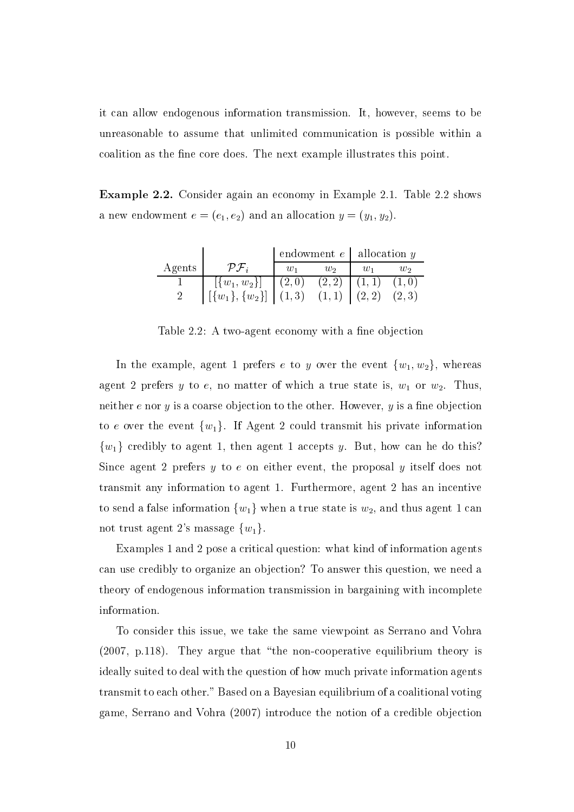it can allow endogenous information transmission. It, however, seems to be unreasonable to assume that unlimited communication is possible within a coalition as the fine core does. The next example illustrates this point.

**Example 2.2.** Consider again an economy in Example 2.1. Table 2.2 shows a new endowment  $e = (e_1, e_2)$  and an allocation  $y = (y_1, y_2)$ .

|        |                                                                   | endowment $e$   allocation $y$ |                 |  |        |
|--------|-------------------------------------------------------------------|--------------------------------|-----------------|--|--------|
| Agents |                                                                   | $\eta_{11}$                    | $w_2$           |  | $w_2$  |
|        | $[\{w_1, w_2\}] \mid (2,0)$                                       |                                | $(2,2)$ $(1,1)$ |  | (1,0)  |
|        | $\left[\{w_1\}, \{w_2\}\right] \mid (1,3) \quad (1,1) \mid (2,2)$ |                                |                 |  | (2, 3) |

Table 2.2: A two-agent economy with a fine objection

In the example, agent 1 prefers e to y over the event  $\{w_1, w_2\}$ , whereas agent 2 prefers y to e, no matter of which a true state is,  $w_1$  or  $w_2$ . Thus, neither  $e$  nor  $y$  is a coarse objection to the other. However,  $y$  is a fine objection to e over the event  $\{w_1\}$ . If Agent 2 could transmit his private information  $\{w_1\}$  credibly to agent 1, then agent 1 accepts y. But, how can be do this? Since agent 2 prefers  $y$  to  $e$  on either event, the proposal  $y$  itself does not transmit any information to agent 1. Furthermore, agent 2 has an incentive to send a false information  $\{w_1\}$  when a true state is  $w_2$ , and thus agent 1 can not trust agent 2's massage  $\{w_1\}$ 

Examples 1 and 2 pose a critical question: what kind of information agents can use credibly to organize an objection? To answer this question, we need a theory of endogenous information transmission in bargaining with incomplete information.

To consider this issue, we take the same viewpoint as Serrano and Vohra (2007, p.118). They argue that "the non-cooperative equilibrium theory is ideally suited to deal with the question of how much private information agents transmit to each other." Based on a Bayesian equilibrium of a coalitional voting game, Serrano and Vohra (2007) introduce the notion of a credible objection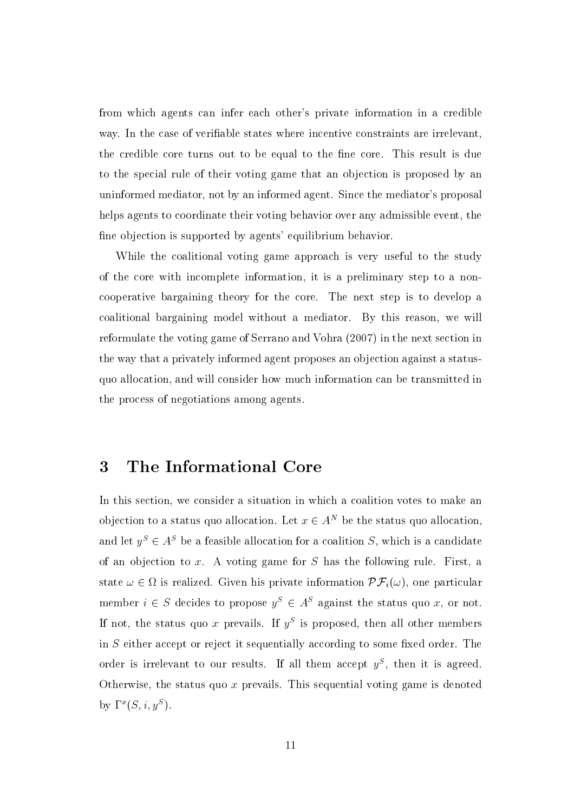from which agents can infer each other's private information in a credible way. In the case of verifiable states where incentive constraints are irrelevant, the credible core turns out to be equal to the fine core. This result is due to the special rule of their voting game that an objection is proposed by an uninformed mediator, not by an informed agent. Since the mediator's proposal helps agents to coordinate their voting behavior over any admissible event, the fine objection is supported by agents' equilibrium behavior.

While the coalitional voting game approach is very useful to the study of the core with incomplete information, it is a preliminary step to a noncooperative bargaining theory for the core. The next step is to develop a coalitional bargaining model without a mediator. By this reason, we will reformulate the voting game of Serrano and Vohra (2007) in the next section in the way that a privately informed agent proposes an objection against a statusquo allocation, and will consider how much information can be transmitted in the process of negotiations among agents.

#### The Informational Core 3

In this section, we consider a situation in which a coalition votes to make an objection to a status quo allocation. Let  $x \in A^N$  be the status quo allocation, and let  $y^S \in A^S$  be a feasible allocation for a coalition S, which is a candidate of an objection to x. A voting game for  $S$  has the following rule. First, a state  $\omega \in \Omega$  is realized. Given his private information  $\mathcal{PF}_i(\omega)$ , one particular member  $i \in S$  decides to propose  $y^S \in A^S$  against the status quo x, or not. If not, the status quo x prevails. If  $y^S$  is proposed, then all other members in S either accept or reject it sequentially according to some fixed order. The order is irrelevant to our results. If all them accept  $y^S$ , then it is agreed. Otherwise, the status quo  $x$  prevails. This sequential voting game is denoted by  $\Gamma^x(S, i, y^S)$ .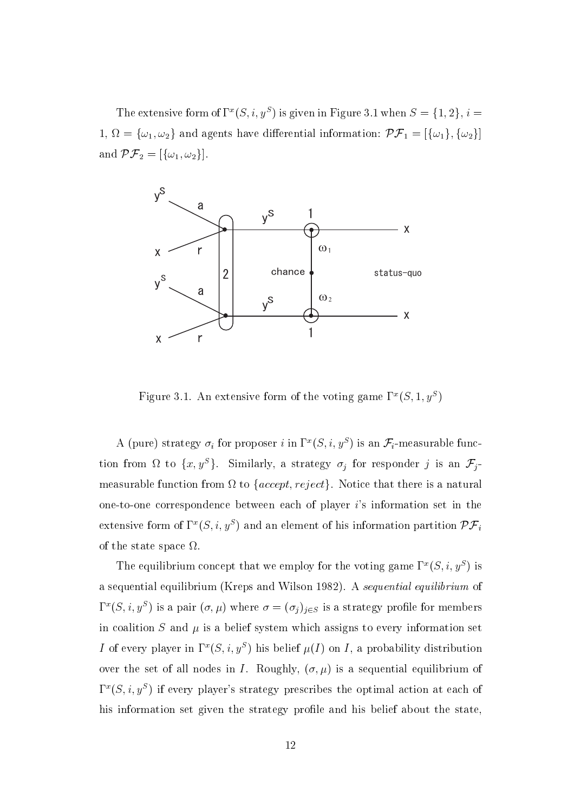The extensive form of  $\Gamma^x(S, i, y^S)$  is given in Figure 3.1 when  $S = \{1, 2\}, i =$ 1,  $\Omega = {\omega_1, \omega_2}$  and agents have differential information:  $\mathcal{PF}_1 = [{\omega_1}, {\omega_2}]$ and  $\mathcal{PF}_2 = [\{\omega_1, \omega_2\}].$ 



Figure 3.1. An extensive form of the voting game  $\Gamma^x(S, 1, y^S)$ 

A (pure) strategy  $\sigma_i$  for proposer *i* in  $\Gamma^x(S, i, y^S)$  is an  $\mathcal{F}_i$ -measurable function from  $\Omega$  to  $\{x, y^S\}$ . Similarly, a strategy  $\sigma_j$  for responder j is an  $\mathcal{F}_j$ measurable function from  $\Omega$  to {accept, reject}. Notice that there is a natural one-to-one correspondence between each of player i's information set in the extensive form of  $\Gamma^x(S, i, y^S)$  and an element of his information partition  $\mathcal{PF}_i$ of the state space  $\Omega$ 

The equilibrium concept that we employ for the voting game  $\Gamma^x(S, i, y^S)$  is a sequential equilibrium (Kreps and Wilson 1982). A sequential equilibrium of  $\Gamma^x(S, i, y^S)$  is a pair  $(\sigma, \mu)$  where  $\sigma = (\sigma_j)_{j \in S}$  is a strategy profile for members in coalition  $S$  and  $\mu$  is a belief system which assigns to every information set I of every player in  $\Gamma^x(S, i, y^S)$  his belief  $\mu(I)$  on I, a probability distribution over the set of all nodes in I. Roughly,  $(\sigma, \mu)$  is a sequential equilibrium of  $\Gamma^x(S, i, y^S)$  if every player's strategy prescribes the optimal action at each of his information set given the strategy profile and his belief about the state,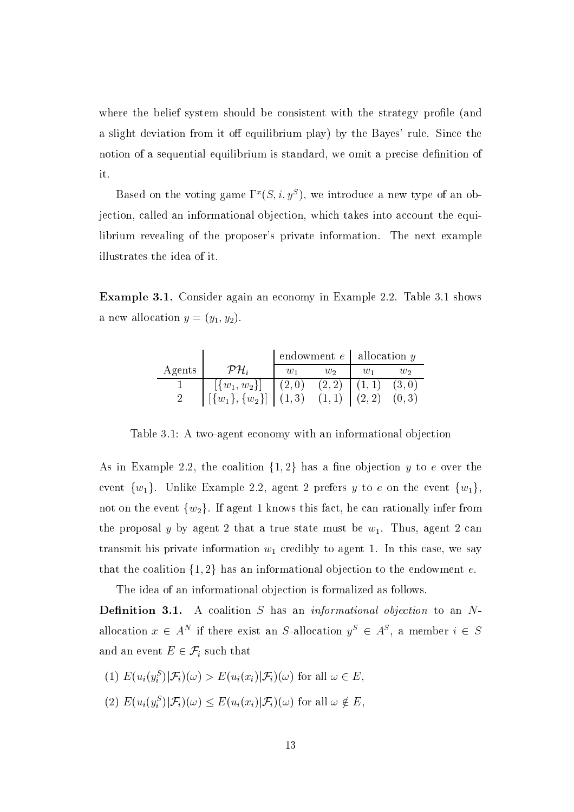where the belief system should be consistent with the strategy profile (and a slight deviation from it off equilibrium play) by the Bayes' rule. Since the notion of a sequential equilibrium is standard, we omit a precise definition of it.

Based on the voting game  $\Gamma^x(S, i, y^S)$ , we introduce a new type of an objection, called an informational objection, which takes into account the equilibrium revealing of the proposer's private information. The next example illustrates the idea of it.

**Example 3.1.** Consider again an economy in Example 2.2. Table 3.1 shows a new allocation  $y = (y_1, y_2)$ .

|        |                                                                   | endowment $e$   allocation $y$ |                 |  |        |
|--------|-------------------------------------------------------------------|--------------------------------|-----------------|--|--------|
| Agents | $\mathcal{PH}_i$                                                  | $w_1$                          | $w_2$           |  | W2     |
|        | $[\{w_1, w_2\}]$                                                  | (2,0)                          | $(2,2)$ $(1,1)$ |  | (3,0)  |
|        | $\left[\{w_1\}, \{w_2\}\right] \mid (1,3) \quad (1,1) \mid (2,2)$ |                                |                 |  | (0, 3) |

Table 3.1: A two-agent economy with an informational objection

As in Example 2.2, the coalition  $\{1,2\}$  has a fine objection y to e over the event  $\{w_1\}$ . Unlike Example 2.2, agent 2 prefers y to e on the event  $\{w_1\}$ , not on the event  $\{w_2\}$ . If agent 1 knows this fact, he can rationally infer from the proposal y by agent 2 that a true state must be  $w_1$ . Thus, agent 2 can transmit his private information  $w_1$  credibly to agent 1. In this case, we say that the coalition  $\{1,2\}$  has an informational objection to the endowment e.

The idea of an informational objection is formalized as follows. **Definition 3.1.** A coalition  $S$  has an *informational objection* to an  $N$ allocation  $x \in A^N$  if there exist an S-allocation  $y^S \in A^S$ , a member  $i \in S$ and an event  $E \in \mathcal{F}_i$  such that

- (1)  $E(u_i(y_i^S)|\mathcal{F}_i)(\omega) > E(u_i(x_i)|\mathcal{F}_i)(\omega)$  for all  $\omega \in E$ .
- (2)  $E(u_i(y_i^S)|\mathcal{F}_i)(\omega) \leq E(u_i(x_i)|\mathcal{F}_i)(\omega)$  for all  $\omega \notin E$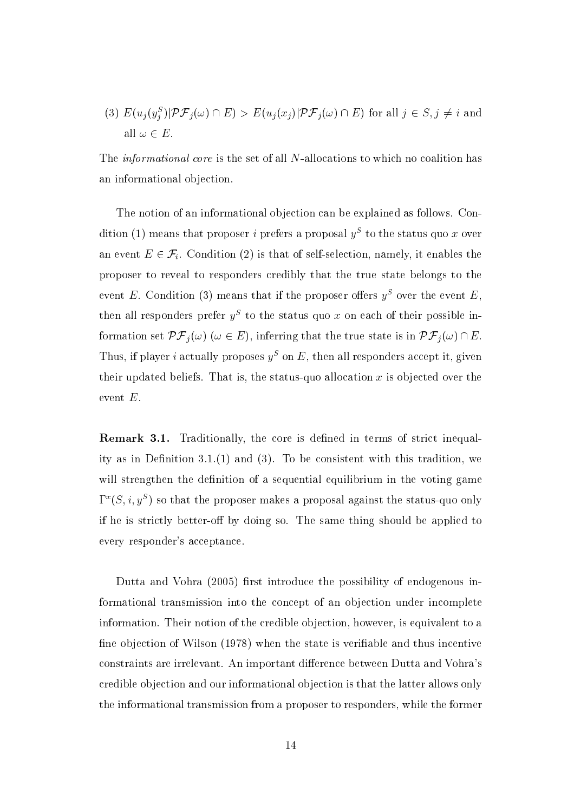(3)  $E(u_j(y_j^S)|\mathcal{PF}_j(\omega) \cap E) > E(u_j(x_j)|\mathcal{PF}_j(\omega) \cap E)$  for all  $j \in S, j \neq i$  and all  $\omega \in E$ .

The *informational core* is the set of all N-allocations to which no coalition has an informational objection.

The notion of an informational objection can be explained as follows. Condition (1) means that proposer *i* prefers a proposal  $y^S$  to the status quo x over an event  $E \in \mathcal{F}_i$ . Condition (2) is that of self-selection, namely, it enables the proposer to reveal to responders credibly that the true state belongs to the event E. Condition (3) means that if the proposer offers  $y^S$  over the event E then all responders prefer  $y^S$  to the status quo x on each of their possible information set  $\mathcal{PF}_i(\omega)$  ( $\omega \in E$ ), inferring that the true state is in  $\mathcal{PF}_i(\omega) \cap E$ . Thus, if player i actually proposes  $y^S$  on E, then all responders accept it, given their updated beliefs. That is, the status-quo allocation  $x$  is objected over the event  $E$ .

**Remark 3.1.** Traditionally, the core is defined in terms of strict inequality as in Definition 3.1.(1) and (3). To be consistent with this tradition, we will strengthen the definition of a sequential equilibrium in the voting game  $\Gamma^x(S, i, y^S)$  so that the proposer makes a proposal against the status-quo only if he is strictly better-off by doing so. The same thing should be applied to every responder's acceptance.

Dutta and Vohra (2005) first introduce the possibility of endogenous informational transmission into the concept of an objection under incomplete information. Their notion of the credible objection, however, is equivalent to a fine objection of Wilson (1978) when the state is verifiable and thus incentive constraints are irrelevant. An important difference between Dutta and Vohra's credible objection and our informational objection is that the latter allows only the informational transmission from a proposer to responders, while the former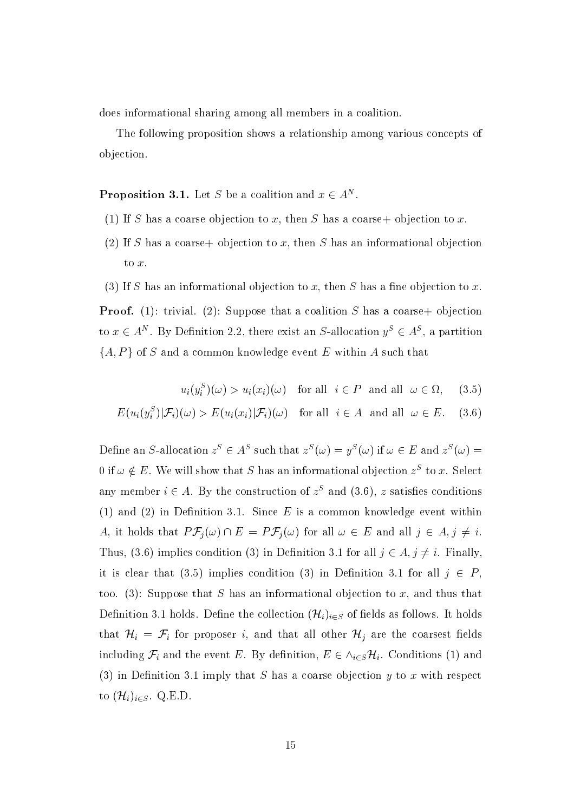does informational sharing among all members in a coalition.

The following proposition shows a relationship among various concepts of objection.

**Proposition 3.1.** Let S be a coalition and  $x \in A^N$ .

- (1) If S has a coarse objection to x, then S has a coarse+ objection to x.
- (2) If S has a coarse+ objection to x, then S has an informational objection to  $x$ .
- (3) If S has an informational objection to x, then S has a fine objection to x.

**Proof.** (1): trivial. (2): Suppose that a coalition S has a coarse + objection to  $x \in A^N$ . By Definition 2.2, there exist an S-allocation  $y^S \in A^S$ , a partition  $\{A, P\}$  of S and a common knowledge event E within A such that

$$
u_i(y_i^S)(\omega) > u_i(x_i)(\omega) \quad \text{for all} \quad i \in P \quad \text{and all} \quad \omega \in \Omega, \quad (3.5)
$$

$$
E(u_i(y_i^S)|\mathcal{F}_i)(\omega) > E(u_i(x_i)|\mathcal{F}_i)(\omega) \quad \text{for all} \quad i \in A \quad \text{and all} \quad \omega \in E. \quad (3.6)
$$

Define an S-allocation  $z^S \in A^S$  such that  $z^S(\omega) = y^S(\omega)$  if  $\omega \in E$  and  $z^S(\omega) =$ 0 if  $\omega \notin E$ . We will show that S has an informational objection  $z^S$  to x. Select any member  $i \in A$ . By the construction of  $z<sup>S</sup>$  and (3.6), z satisfies conditions (1) and (2) in Definition 3.1. Since  $E$  is a common knowledge event within A, it holds that  $P\mathcal{F}_j(\omega) \cap E = P\mathcal{F}_j(\omega)$  for all  $\omega \in E$  and all  $j \in A, j \neq i$ . Thus, (3.6) implies condition (3) in Definition 3.1 for all  $j \in A, j \neq i$ . Finally, it is clear that (3.5) implies condition (3) in Definition 3.1 for all  $j \in P$ , too. (3): Suppose that S has an informational objection to x, and thus that Definition 3.1 holds. Define the collection  $(\mathcal{H}_i)_{i \in S}$  of fields as follows. It holds that  $\mathcal{H}_i = \mathcal{F}_i$  for proposer i, and that all other  $\mathcal{H}_j$  are the coarsest fields including  $\mathcal{F}_i$  and the event E. By definition,  $E \in \wedge_{i \in S} \mathcal{H}_i$ . Conditions (1) and (3) in Definition 3.1 imply that S has a coarse objection  $y$  to x with respect to  $(\mathcal{H}_i)_{i \in S}$ . Q.E.D.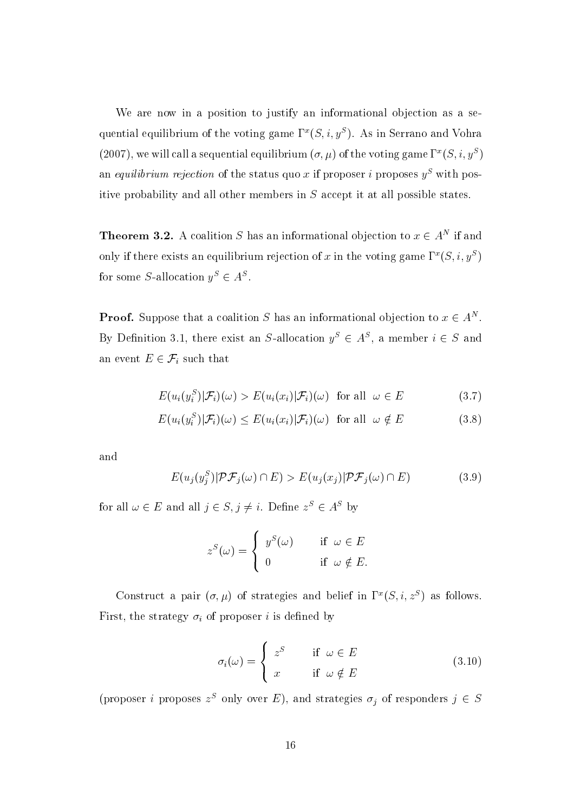We are now in a position to justify an informational objection as a sequential equilibrium of the voting game  $\Gamma^x(S, i, y^S)$ . As in Serrano and Vohra (2007), we will call a sequential equilibrium  $(\sigma, \mu)$  of the voting game  $\Gamma^x(S, i, y^S)$ an equilibrium rejection of the status quo x if proposer i proposes  $y^S$  with positive probability and all other members in S accept it at all possible states.

**Theorem 3.2.** A coalition S has an informational objection to  $x \in A^N$  if and only if there exists an equilibrium rejection of x in the voting game  $\Gamma^x(S, i, y^S)$ for some S-allocation  $y^S \in A^S$ .

**Proof.** Suppose that a coalition S has an informational objection to  $x \in A^N$ . By Definition 3.1, there exist an S-allocation  $y^S \in A^S$ , a member  $i \in S$  and an event  $E \in \mathcal{F}_i$  such that

$$
E(u_i(y_i^S)|\mathcal{F}_i)(\omega) > E(u_i(x_i)|\mathcal{F}_i)(\omega) \text{ for all } \omega \in E
$$
\n(3.7)

$$
E(u_i(y_i^S)|\mathcal{F}_i)(\omega) \le E(u_i(x_i)|\mathcal{F}_i)(\omega) \text{ for all } \omega \notin E
$$
\n(3.8)

and

$$
E(u_j(y_j^S)|\mathcal{PF}_j(\omega) \cap E) > E(u_j(x_j)|\mathcal{PF}_j(\omega) \cap E)
$$
\n(3.9)

for all  $\omega \in E$  and all  $j \in S$ ,  $j \neq i$ . Define  $z^S \in A^S$  by

$$
z^{S}(\omega) = \begin{cases} y^{S}(\omega) & \text{if } \omega \in E \\ 0 & \text{if } \omega \notin E. \end{cases}
$$

Construct a pair  $(\sigma, \mu)$  of strategies and belief in  $\Gamma^x(S, i, z^S)$  as follows. First, the strategy  $\sigma_i$  of proposer i is defined by

$$
\sigma_i(\omega) = \begin{cases}\nz^S & \text{if } \omega \in E \\
x & \text{if } \omega \notin E\n\end{cases}
$$
\n(3.10)

(proposer *i* proposes  $z^S$  only over E), and strategies  $\sigma_j$  of responders  $j \in S$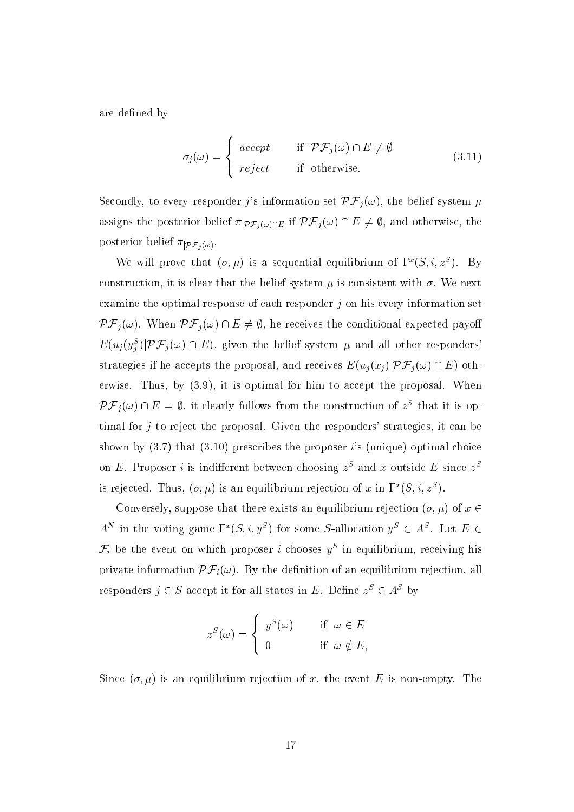are defined by

$$
\sigma_j(\omega) = \begin{cases}\n\begin{array}{ll}\n\text{accept} & \text{if } \mathcal{PF}_j(\omega) \cap E \neq \emptyset \\
\text{reject} & \text{if otherwise.}\n\end{array}\n\end{cases}\n\tag{3.11}
$$

Secondly, to every responder j's information set  $\mathcal{PF}_j(\omega)$ , the belief system  $\mu$ assigns the posterior belief  $\pi_{|\mathcal{PF}_j(\omega)\cap E}$  if  $\mathcal{PF}_j(\omega) \cap E \neq \emptyset$ , and otherwise, the posterior belief  $\pi_{|\mathcal{PF}_i(\omega)}$ .

We will prove that  $(\sigma, \mu)$  is a sequential equilibrium of  $\Gamma^x(S, i, z^S)$ . By construction, it is clear that the belief system  $\mu$  is consistent with  $\sigma$ . We next examine the optimal response of each responder  $j$  on his every information set  $\mathcal{PF}_j(\omega)$ . When  $\mathcal{PF}_j(\omega) \cap E \neq \emptyset$ , he receives the conditional expected payoff  $E(u_j(y_j^S)|\mathcal{PF}_j(\omega) \cap E)$ , given the belief system  $\mu$  and all other responders strategies if he accepts the proposal, and receives  $E(u_i(x_i)|\mathcal{PF}_i(\omega) \cap E)$  otherwise. Thus, by  $(3.9)$ , it is optimal for him to accept the proposal. When  $\mathcal{PF}_j(\omega) \cap E = \emptyset$ , it clearly follows from the construction of  $z^S$  that it is optimal for  $j$  to reject the proposal. Given the responders' strategies, it can be shown by  $(3.7)$  that  $(3.10)$  prescribes the proposer i's (unique) optimal choice on E. Proposer *i* is indifferent between choosing  $z<sup>S</sup>$  and x outside E since  $z<sup>S</sup>$ is rejected. Thus,  $(\sigma, \mu)$  is an equilibrium rejection of x in  $\Gamma^x(S, i, z^S)$ .

Conversely, suppose that there exists an equilibrium rejection  $(\sigma, \mu)$  of  $x \in$  $A^N$  in the voting game  $\Gamma^x(S, i, y^S)$  for some S-allocation  $y^S \in A^S$ . Let  $E \in$  $\mathcal{F}_i$  be the event on which proposer *i* chooses  $y^S$  in equilibrium, receiving his private information  $\mathcal{PF}_i(\omega)$ . By the definition of an equilibrium rejection, all responders  $j \in S$  accept it for all states in E. Define  $z^S \in A^S$  by

$$
z^{S}(\omega) = \begin{cases} y^{S}(\omega) & \text{if } \omega \in E \\ 0 & \text{if } \omega \notin E, \end{cases}
$$

Since  $(\sigma, \mu)$  is an equilibrium rejection of x, the event E is non-empty. The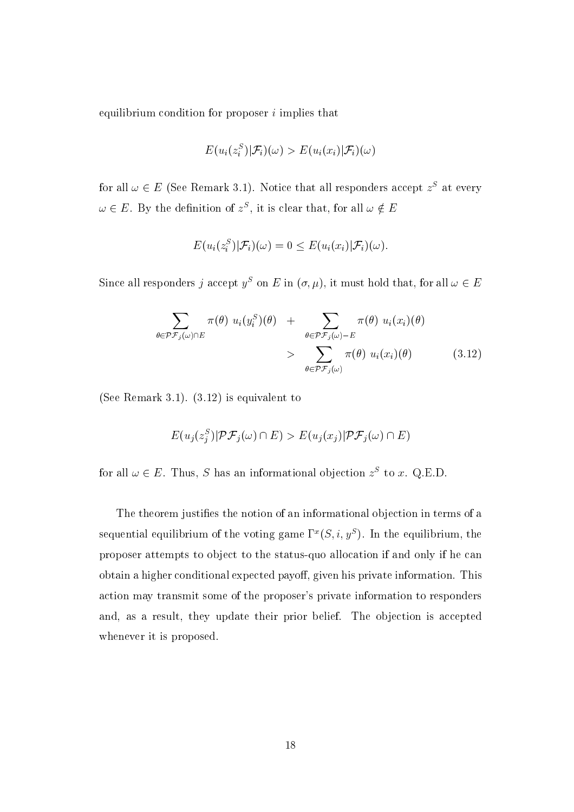equilibrium condition for proposer  $i$  implies that

$$
E(u_i(z_i^S)|\mathcal{F}_i)(\omega) > E(u_i(x_i)|\mathcal{F}_i)(\omega)
$$

for all  $\omega \in E$  (See Remark 3.1). Notice that all responders accept  $z<sup>S</sup>$  at every  $\omega \in E$ . By the definition of  $z^S$ , it is clear that, for all  $\omega \notin E$ 

$$
E(u_i(z_i^S)|\mathcal{F}_i)(\omega) = 0 \leq E(u_i(x_i)|\mathcal{F}_i)(\omega).
$$

Since all responders j accept  $y^S$  on E in  $(\sigma, \mu)$ , it must hold that, for all  $\omega \in E$ 

$$
\sum_{\theta \in \mathcal{PF}_j(\omega) \cap E} \pi(\theta) u_i(y_i^S)(\theta) + \sum_{\theta \in \mathcal{PF}_j(\omega) - E} \pi(\theta) u_i(x_i)(\theta) > \sum_{\theta \in \mathcal{PF}_j(\omega)} \pi(\theta) u_i(x_i)(\theta)
$$
(3.12)

(See Remark 3.1).  $(3.12)$  is equivalent to

$$
E(u_j(z_j^S)| \mathcal{PF}_j(\omega) \cap E) > E(u_j(x_j)| \mathcal{PF}_j(\omega) \cap E)
$$

for all  $\omega \in E$ . Thus, S has an informational objection  $z^S$  to x. Q.E.D.

The theorem justifies the notion of an informational objection in terms of a sequential equilibrium of the voting game  $\Gamma^x(S, i, y^S)$ . In the equilibrium, the proposer attempts to object to the status-quo allocation if and only if he can obtain a higher conditional expected payoff, given his private information. This action may transmit some of the proposer's private information to responders and, as a result, they update their prior belief. The objection is accepted whenever it is proposed.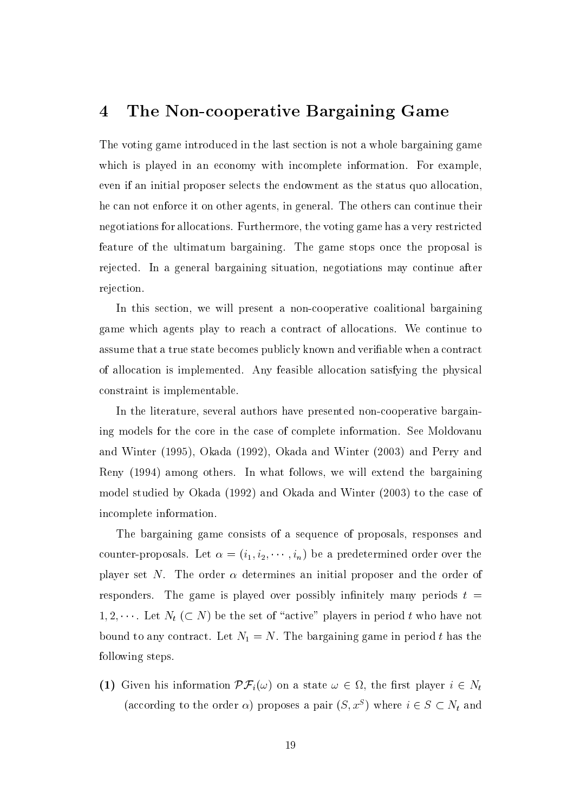#### The Non-cooperative Bargaining Game  $\overline{4}$

The voting game introduced in the last section is not a whole bargaining game which is played in an economy with incomplete information. For example, even if an initial proposer selects the endowment as the status quo allocation, he can not enforce it on other agents, in general. The others can continue their negotiations for allocations. Furthermore, the voting game has a very restricted feature of the ultimatum bargaining. The game stops once the proposal is rejected. In a general bargaining situation, negotiations may continue after rejection.

In this section, we will present a non-cooperative coalitional bargaining game which agents play to reach a contract of allocations. We continue to assume that a true state becomes publicly known and verifiable when a contract of allocation is implemented. Any feasible allocation satisfying the physical constraint is implementable.

In the literature, several authors have presented non-cooperative bargaining models for the core in the case of complete information. See Moldovanu and Winter (1995), Okada (1992), Okada and Winter (2003) and Perry and Reny (1994) among others. In what follows, we will extend the bargaining model studied by Okada (1992) and Okada and Winter (2003) to the case of incomplete information.

The bargaining game consists of a sequence of proposals, responses and counter-proposals. Let  $\alpha = (i_1, i_2, \dots, i_n)$  be a predetermined order over the player set N. The order  $\alpha$  determines an initial proposer and the order of responders. The game is played over possibly infinitely many periods  $t =$  $1, 2, \cdots$ . Let  $N_t$  ( $\subset N$ ) be the set of "active" players in period t who have not bound to any contract. Let  $N_1 = N$ . The bargaining game in period t has the following steps.

(1) Given his information  $\mathcal{PF}_i(\omega)$  on a state  $\omega \in \Omega$ , the first player  $i \in N_t$ (according to the order  $\alpha$ ) proposes a pair  $(S, x^S)$  where  $i \in S \subset N_t$  and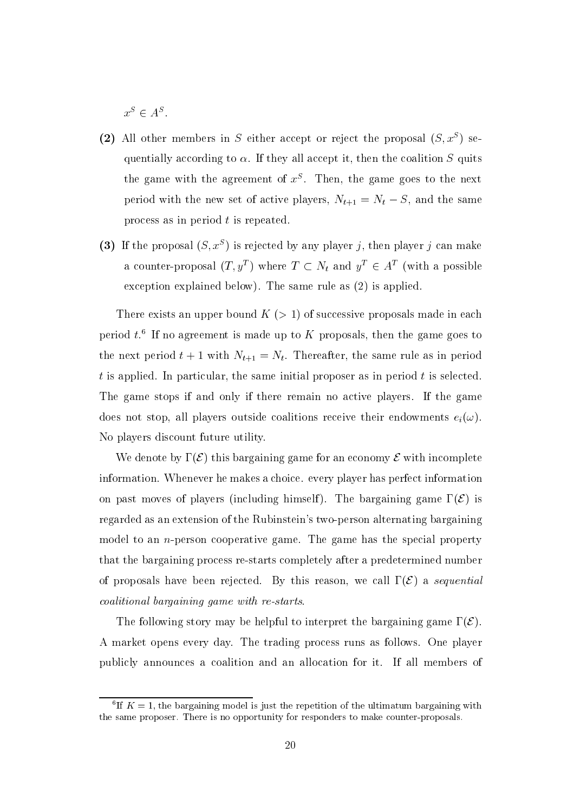$x^S \in A^S$ .

- (2) All other members in S either accept or reject the proposal  $(S, x^S)$  sequentially according to  $\alpha$ . If they all accept it, then the coalition S quits the game with the agreement of  $x^S$ . Then, the game goes to the next period with the new set of active players,  $N_{t+1} = N_t - S$ , and the same process as in period  $t$  is repeated.
- (3) If the proposal  $(S, x^S)$  is rejected by any player j, then player j can make a counter-proposal  $(T, y^T)$  where  $T \subset N_t$  and  $y^T \in A^T$  (with a possible exception explained below). The same rule as  $(2)$  is applied.

There exists an upper bound  $K$  ( $> 1$ ) of successive proposals made in each period  $t^6$ . If no agreement is made up to K proposals, then the game goes to the next period  $t + 1$  with  $N_{t+1} = N_t$ . Thereafter, the same rule as in period  $t$  is applied. In particular, the same initial proposer as in period  $t$  is selected. The game stops if and only if there remain no active players. If the game does not stop, all players outside coalitions receive their endowments  $e_i(\omega)$ . No players discount future utility.

We denote by  $\Gamma(\mathcal{E})$  this bargaining game for an economy  $\mathcal E$  with incomplete information. Whenever he makes a choice, every player has perfect information on past moves of players (including himself). The bargaining game  $\Gamma(\mathcal{E})$  is regarded as an extension of the Rubinstein's two-person alternating bargaining model to an *n*-person cooperative game. The game has the special property that the bargaining process re-starts completely after a predetermined number of proposals have been rejected. By this reason, we call  $\Gamma(\mathcal{E})$  a sequential coalitional bargaining game with re-starts.

The following story may be helpful to interpret the bargaining game  $\Gamma(\mathcal{E})$ . A market opens every day. The trading process runs as follows. One player publicly announces a coalition and an allocation for it. If all members of

<sup>&</sup>lt;sup>6</sup>If  $K = 1$ , the bargaining model is just the repetition of the ultimatum bargaining with the same proposer. There is no opportunity for responders to make counter-proposals.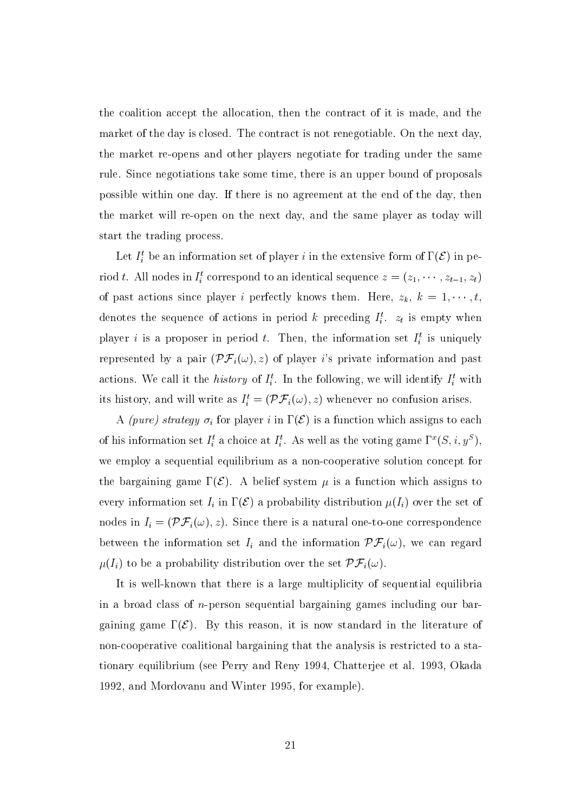the coalition accept the allocation, then the contract of it is made, and the market of the day is closed. The contract is not renegotiable. On the next day, the market re-opens and other players negotiate for trading under the same rule. Since negotiations take some time, there is an upper bound of proposals possible within one day. If there is no agreement at the end of the day, then the market will re-open on the next day, and the same player as today will start the trading process.

Let  $I_i^t$  be an information set of player i in the extensive form of  $\Gamma(\mathcal{E})$  in period t. All nodes in  $I_i^t$  correspond to an identical sequence  $z = (z_1, \dots, z_{t-1}, z_t)$ of past actions since player *i* perfectly knows them. Here,  $z_k$ ,  $k = 1, \dots, t$ , denotes the sequence of actions in period k preceding  $I_i^t$ .  $z_t$  is empty when player i is a proposer in period t. Then, the information set  $I_i^t$  is uniquely represented by a pair  $(\mathcal{PF}_i(\omega), z)$  of player is private information and past actions. We call it the *history* of  $I_i^t$ . In the following, we will identify  $I_i^t$  with its history, and will write as  $I_i^t = (\mathcal{PF}_i(\omega), z)$  whenever no confusion arises.

A (pure) strategy  $\sigma_i$  for player i in  $\Gamma(\mathcal{E})$  is a function which assigns to each of his information set  $I_i^t$  a choice at  $I_i^t$ . As well as the voting game  $\Gamma^x(S, i, y^S)$ , we employ a sequential equilibrium as a non-cooperative solution concept for the bargaining game  $\Gamma(\mathcal{E})$ . A belief system  $\mu$  is a function which assigns to every information set  $I_i$  in  $\Gamma(\mathcal{E})$  a probability distribution  $\mu(I_i)$  over the set of nodes in  $I_i = (\mathcal{PF}_i(\omega), z)$ . Since there is a natural one-to-one correspondence between the information set  $I_i$  and the information  $\mathcal{PF}_i(\omega)$ , we can regard  $\mu(I_i)$  to be a probability distribution over the set  $\mathcal{PF}_i(\omega)$ .

It is well-known that there is a large multiplicity of sequential equilibria in a broad class of  $n$ -person sequential bargaining games including our bargaining game  $\Gamma(\mathcal{E})$ . By this reason, it is now standard in the literature of non-cooperative coalitional bargaining that the analysis is restricted to a stationary equilibrium (see Perry and Reny 1994, Chatterjee et al. 1993, Okada 1992, and Mordovanu and Winter 1995, for example).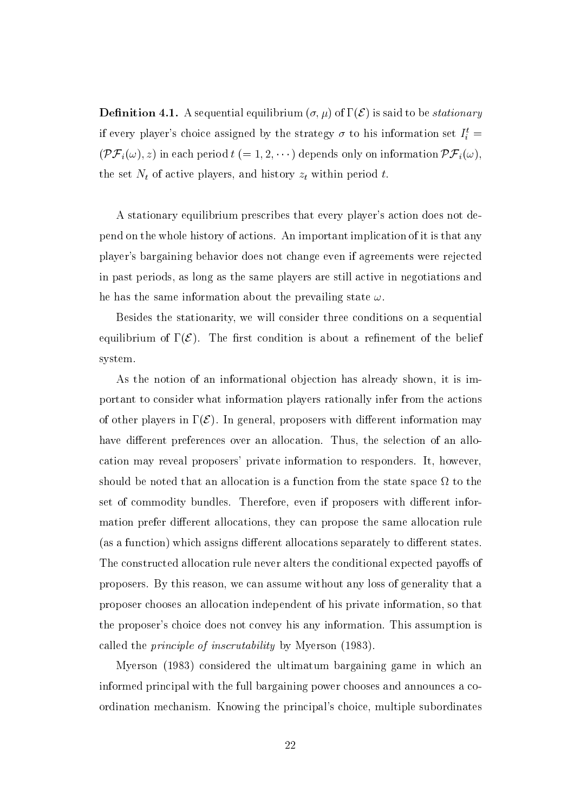**Definition 4.1.** A sequential equilibrium  $(\sigma, \mu)$  of  $\Gamma(\mathcal{E})$  is said to be *stationary* if every player's choice assigned by the strategy  $\sigma$  to his information set  $I_i^t$  =  $(\mathcal{PF}_i(\omega), z)$  in each period  $t (= 1, 2, \cdots)$  depends only on information  $\mathcal{PF}_i(\omega)$ , the set  $N_t$  of active players, and history  $z_t$  within period t.

A stationary equilibrium prescribes that every player's action does not depend on the whole history of actions. An important implication of it is that any player's bargaining behavior does not change even if agreements were rejected in past periods, as long as the same players are still active in negotiations and he has the same information about the prevailing state  $\omega$ .

Besides the stationarity, we will consider three conditions on a sequential equilibrium of  $\Gamma(\mathcal{E})$ . The first condition is about a refinement of the belief system.

As the notion of an informational objection has already shown, it is important to consider what information players rationally infer from the actions of other players in  $\Gamma(\mathcal{E})$ . In general, proposers with different information may have different preferences over an allocation. Thus, the selection of an allocation may reveal proposers' private information to responders. It, however, should be noted that an allocation is a function from the state space  $\Omega$  to the set of commodity bundles. Therefore, even if proposers with different information prefer different allocations, they can propose the same allocation rule (as a function) which assigns different allocations separately to different states. The constructed allocation rule never alters the conditional expected payoffs of proposers. By this reason, we can assume without any loss of generality that a proposer chooses an allocation independent of his private information, so that the proposer's choice does not convey his any information. This assumption is called the *principle of inscrutability* by Myerson (1983).

Myerson (1983) considered the ultimatum bargaining game in which an informed principal with the full bargaining power chooses and announces a coordination mechanism. Knowing the principal's choice, multiple subordinates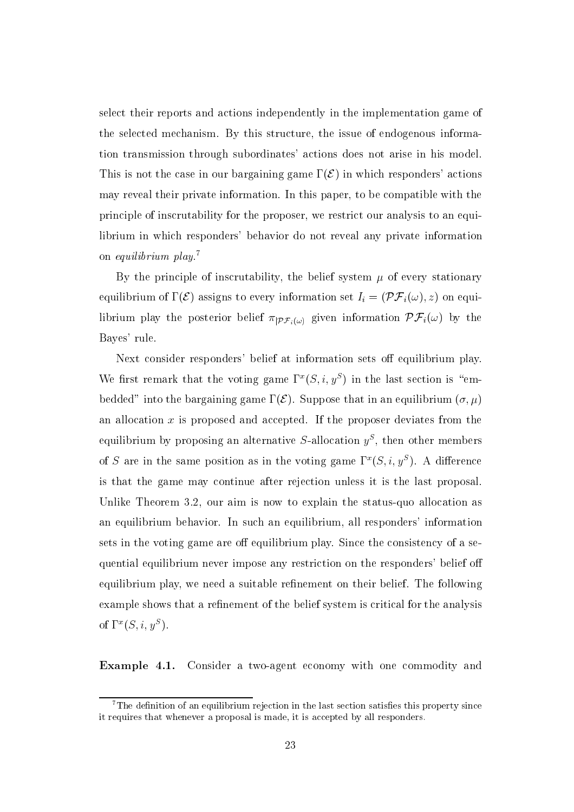select their reports and actions independently in the implementation game of the selected mechanism. By this structure, the issue of endogenous information transmission through subordinates' actions does not arise in his model. This is not the case in our bargaining game  $\Gamma(\mathcal{E})$  in which responders' actions may reveal their private information. In this paper, to be compatible with the principle of inscrutability for the proposer, we restrict our analysis to an equilibrium in which responders' behavior do not reveal any private information on *equilibrium*  $play.<sup>7</sup>$ 

By the principle of inscrutability, the belief system  $\mu$  of every stationary equilibrium of  $\Gamma(\mathcal{E})$  assigns to every information set  $I_i = (\mathcal{PF}_i(\omega), z)$  on equilibrium play the posterior belief  $\pi_{\vert P\mathcal{F}_i(\omega)}$  given information  $\mathcal{PF}_i(\omega)$  by the Bayes' rule.

Next consider responders' belief at information sets off equilibrium play. We first remark that the voting game  $\Gamma^x(S, i, y^S)$  in the last section is "embedded" into the bargaining game  $\Gamma(\mathcal{E})$ . Suppose that in an equilibrium  $(\sigma, \mu)$ an allocation  $x$  is proposed and accepted. If the proposer deviates from the equilibrium by proposing an alternative S-allocation  $y^S$ , then other members of S are in the same position as in the voting game  $\Gamma^x(S, i, y^S)$ . A difference is that the game may continue after rejection unless it is the last proposal. Unlike Theorem 3.2, our aim is now to explain the status-quo allocation as an equilibrium behavior. In such an equilibrium, all responders' information sets in the voting game are off equilibrium play. Since the consistency of a sequential equilibrium never impose any restriction on the responders' belief off equilibrium play, we need a suitable refinement on their belief. The following example shows that a refinement of the belief system is critical for the analysis of  $\Gamma^x(S, i, y^S)$ .

Example 4.1. Consider a two-agent economy with one commodity and

 ${}^{7}$ The definition of an equilibrium rejection in the last section satisfies this property since it requires that whenever a proposal is made, it is accepted by all responders.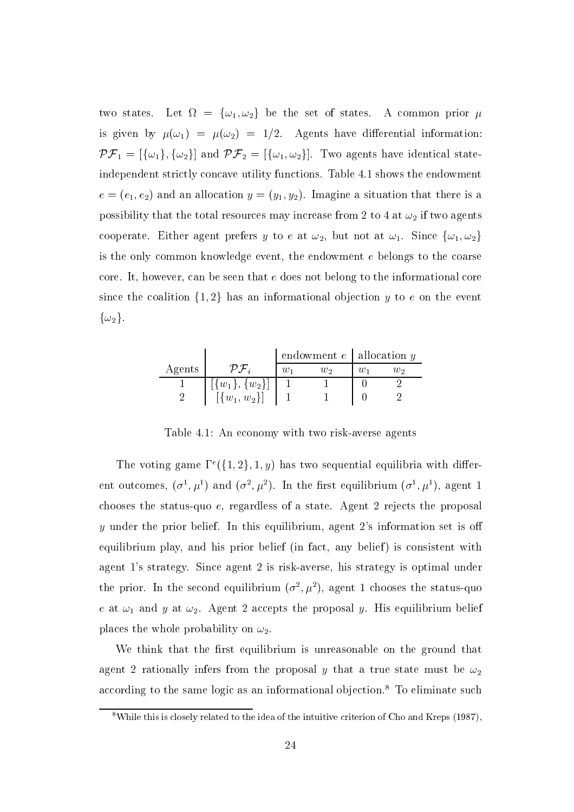two states. Let  $\Omega = {\omega_1, \omega_2}$  be the set of states. A common prior  $\mu$ is given by  $\mu(\omega_1) = \mu(\omega_2) = 1/2$ . Agents have differential information:  $\mathcal{PF}_1 = [\{\omega_1\}, \{\omega_2\}]$  and  $\mathcal{PF}_2 = [\{\omega_1, \omega_2\}]$ . Two agents have identical stateindependent strictly concave utility functions. Table 4.1 shows the endowment  $e = (e_1, e_2)$  and an allocation  $y = (y_1, y_2)$ . Imagine a situation that there is a possibility that the total resources may increase from 2 to 4 at  $\omega_2$  if two agents cooperate. Either agent prefers y to e at  $\omega_2$ , but not at  $\omega_1$ . Since  $\{\omega_1, \omega_2\}$ is the only common knowledge event, the endowment  $e$  belongs to the coarse core. It, however, can be seen that e does not belong to the informational core since the coalition  $\{1,2\}$  has an informational objection y to e on the event  $\{\omega_2\}.$ 

|        |                      | endowment $e$   allocation $y$ |    |   |    |
|--------|----------------------|--------------------------------|----|---|----|
| Agents |                      |                                | บว | w | W2 |
|        | $[\{w_1\}, \{w_2\}]$ |                                |    |   |    |
|        | $[(w_1, w_2)]$       |                                |    |   |    |

Table 4.1: An economy with two risk-averse agents

The voting game  $\Gamma^e({1,2},1,y)$  has two sequential equilibria with different outcomes,  $(\sigma^1, \mu^1)$  and  $(\sigma^2, \mu^2)$ . In the first equilibrium  $(\sigma^1, \mu^1)$ , agent 1 chooses the status-quo e, regardless of a state. Agent 2 rejects the proposal y under the prior belief. In this equilibrium, agent 2's information set is off equilibrium play, and his prior belief (in fact, any belief) is consistent with agent 1's strategy. Since agent 2 is risk-averse, his strategy is optimal under the prior. In the second equilibrium  $(\sigma^2, \mu^2)$ , agent 1 chooses the status-quo e at  $\omega_1$  and y at  $\omega_2$ . Agent 2 accepts the proposal y. His equilibrium belief places the whole probability on  $\omega_2$ .

We think that the first equilibrium is unreasonable on the ground that agent 2 rationally infers from the proposal y that a true state must be  $\omega_2$ according to the same logic as an informational objection.<sup>8</sup> To eliminate such

 $8$ While this is closely related to the idea of the intuitive criterion of Cho and Kreps (1987),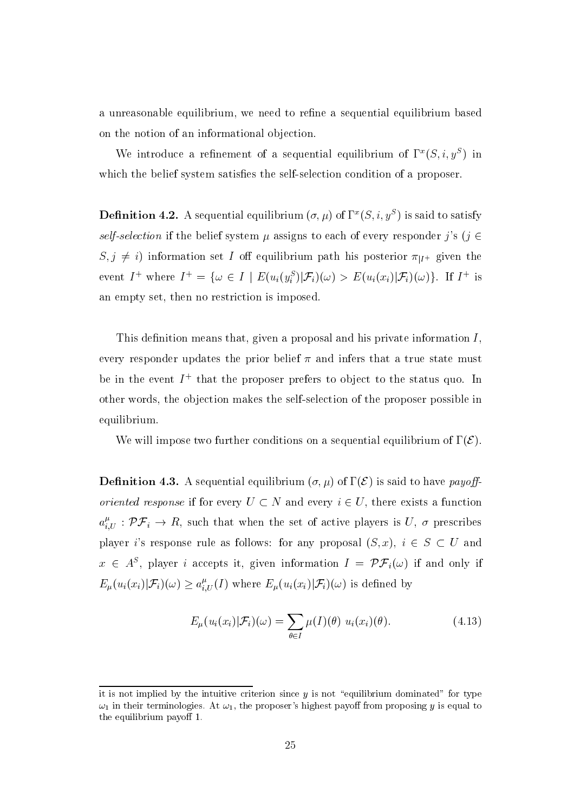a unreasonable equilibrium, we need to refine a sequential equilibrium based on the notion of an informational objection.

We introduce a refinement of a sequential equilibrium of  $\Gamma^x(S, i, y^S)$  in which the belief system satisfies the self-selection condition of a proposer.

**Definition 4.2.** A sequential equilibrium  $(\sigma, \mu)$  of  $\Gamma^x(S, i, y^S)$  is said to satisfy self-selection if the belief system  $\mu$  assigns to each of every responder j's (j  $\in$  $S, j \neq i$  information set I off equilibrium path his posterior  $\pi_{|I^+}$  given the event  $I^+$  where  $I^+ = \{ \omega \in I \mid E(u_i(y_i^S)|\mathcal{F}_i)(\omega) > E(u_i(x_i)|\mathcal{F}_i)(\omega) \}.$  If  $I^+$  is an empty set, then no restriction is imposed.

This definition means that, given a proposal and his private information  $I$ , every responder updates the prior belief  $\pi$  and infers that a true state must be in the event  $I^+$  that the proposer prefers to object to the status quo. In other words, the objection makes the self-selection of the proposer possible in equilibrium.

We will impose two further conditions on a sequential equilibrium of  $\Gamma(\mathcal{E})$ .

**Definition 4.3.** A sequential equilibrium  $(\sigma, \mu)$  of  $\Gamma(\mathcal{E})$  is said to have payoff*oriented response* if for every  $U \subset N$  and every  $i \in U$ , there exists a function  $a_{i,U}^{\mu}$ :  $\mathcal{PF}_i \to R$ , such that when the set of active players is U,  $\sigma$  prescribes player i's response rule as follows: for any proposal  $(S, x)$ ,  $i \in S \subset U$  and  $x \in A^S$ , player *i* accepts it, given information  $I = \mathcal{PF}_i(\omega)$  if and only if  $E_{\mu}(u_i(x_i)|\mathcal{F}_i)(\omega) \geq a_{i,U}^{\mu}(I)$  where  $E_{\mu}(u_i(x_i)|\mathcal{F}_i)(\omega)$  is defined by

$$
E_{\mu}(u_i(x_i)|\mathcal{F}_i)(\omega) = \sum_{\theta \in I} \mu(I)(\theta) \ u_i(x_i)(\theta).
$$
 (4.13)

it is not implied by the intuitive criterion since  $y$  is not "equilibrium dominated" for type  $\omega_1$  in their terminologies. At  $\omega_1$ , the proposer's highest payoff from proposing y is equal to the equilibrium payoff 1.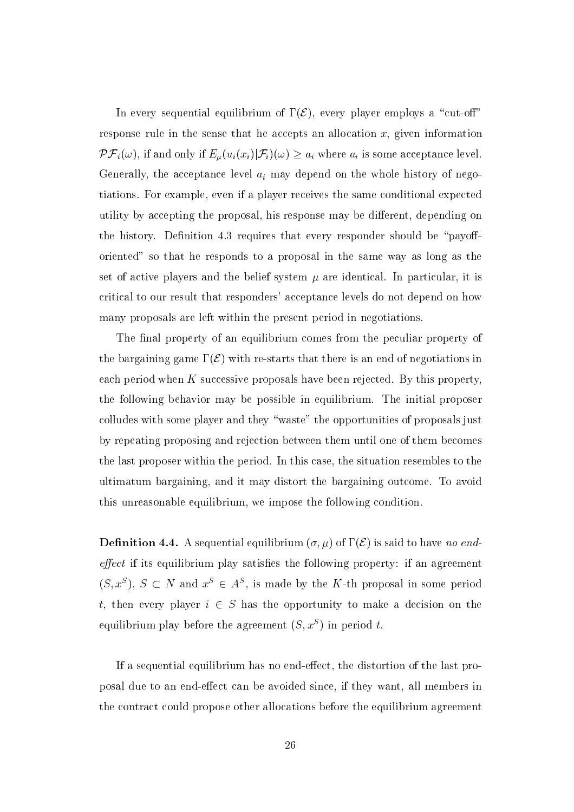In every sequential equilibrium of  $\Gamma(\mathcal{E})$ , every player employs a "cut-off" response rule in the sense that he accepts an allocation  $x$ , given information  $\mathcal{PF}_i(\omega)$ , if and only if  $E_\mu(u_i(x_i)|\mathcal{F}_i)(\omega) \geq a_i$  where  $a_i$  is some acceptance level. Generally, the acceptance level  $a_i$  may depend on the whole history of negotiations. For example, even if a player receives the same conditional expected utility by accepting the proposal, his response may be different, depending on the history. Definition 4.3 requires that every responder should be "payofforiented" so that he responds to a proposal in the same way as long as the set of active players and the belief system  $\mu$  are identical. In particular, it is critical to our result that responders' acceptance levels do not depend on how many proposals are left within the present period in negotiations.

The final property of an equilibrium comes from the peculiar property of the bargaining game  $\Gamma(\mathcal{E})$  with re-starts that there is an end of negotiations in each period when  $K$  successive proposals have been rejected. By this property. the following behavior may be possible in equilibrium. The initial proposer colludes with some player and they "waste" the opportunities of proposals just by repeating proposing and rejection between them until one of them becomes the last proposer within the period. In this case, the situation resembles to the ultimatum bargaining, and it may distort the bargaining outcome. To avoid this unreasonable equilibrium, we impose the following condition.

**Definition 4.4.** A sequential equilibrium  $(\sigma, \mu)$  of  $\Gamma(\mathcal{E})$  is said to have no end*effect* if its equilibrium play satisfies the following property: if an agreement  $(S, x^S)$ ,  $S \subset N$  and  $x^S \in A^S$ , is made by the K-th proposal in some period t, then every player  $i \in S$  has the opportunity to make a decision on the equilibrium play before the agreement  $(S, x^S)$  in period t.

If a sequential equilibrium has no end-effect, the distortion of the last proposal due to an end-effect can be avoided since, if they want, all members in the contract could propose other allocations before the equilibrium agreement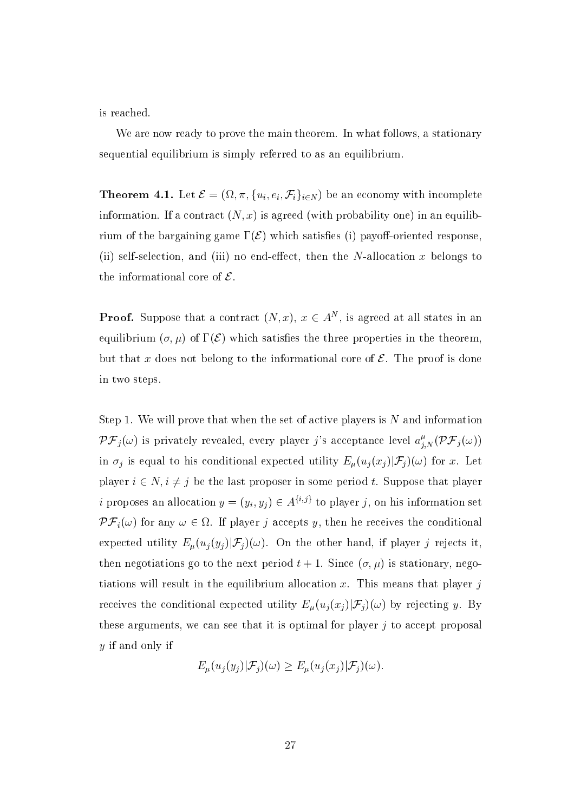is reached.

We are now ready to prove the main theorem. In what follows, a stationary sequential equilibrium is simply referred to as an equilibrium.

**Theorem 4.1.** Let  $\mathcal{E} = (\Omega, \pi, \{u_i, e_i, \mathcal{F}_i\}_{i \in N})$  be an economy with incomplete information. If a contract  $(N, x)$  is agreed (with probability one) in an equilibrium of the bargaining game  $\Gamma(\mathcal{E})$  which satisfies (i) payoff-oriented response, (ii) self-selection, and (iii) no end-effect, then the N-allocation x belongs to the informational core of  $\mathcal{E}$ .

**Proof.** Suppose that a contract  $(N, x)$ ,  $x \in A^N$ , is agreed at all states in an equilibrium  $(\sigma, \mu)$  of  $\Gamma(\mathcal{E})$  which satisfies the three properties in the theorem, but that x does not belong to the informational core of  $\mathcal E$ . The proof is done in two steps.

Step 1. We will prove that when the set of active players is  $N$  and information  $\mathcal{PF}_j(\omega)$  is privately revealed, every player j's acceptance level  $a_{j,N}^{\mu}(\mathcal{PF}_j(\omega))$ in  $\sigma_j$  is equal to his conditional expected utility  $E_\mu(u_j(x_j)|\mathcal{F}_j)(\omega)$  for x. Let player  $i \in N$ ,  $i \neq j$  be the last proposer in some period t. Suppose that player *i* proposes an allocation  $y = (y_i, y_j) \in A^{\{i,j\}}$  to player j, on his information set  $\mathcal{PF}_i(\omega)$  for any  $\omega \in \Omega$ . If player j accepts y, then he receives the conditional expected utility  $E_{\mu}(u_j(y_j)|\mathcal{F}_j)(\omega)$ . On the other hand, if player j rejects it, then negotiations go to the next period  $t + 1$ . Since  $(\sigma, \mu)$  is stationary, negotiations will result in the equilibrium allocation x. This means that player  $j$ receives the conditional expected utility  $E_{\mu}(u_j(x_j)|\mathcal{F}_j)(\omega)$  by rejecting y. By these arguments, we can see that it is optimal for player  $j$  to accept proposal y if and only if

$$
E_{\mu}(u_j(y_j)|\mathcal{F}_j)(\omega) \ge E_{\mu}(u_j(x_j)|\mathcal{F}_j)(\omega)
$$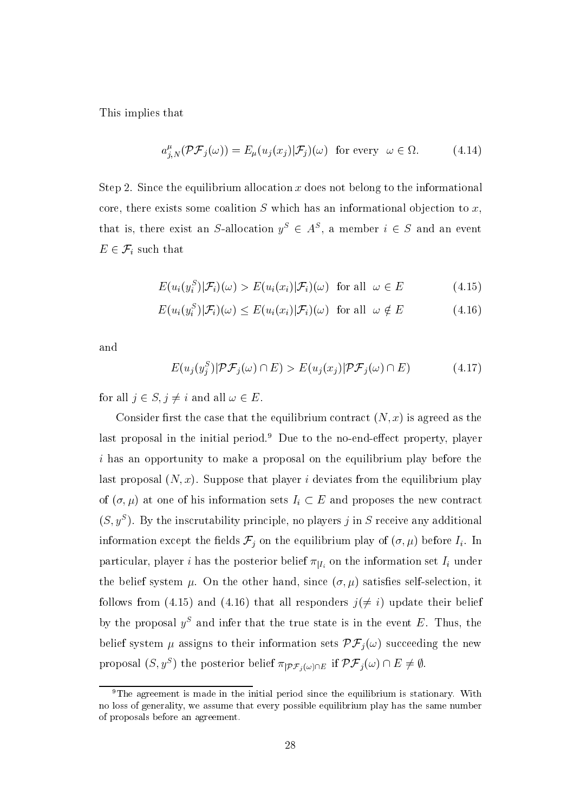This implies that

$$
a_{j,N}^{\mu}(\mathcal{PF}_j(\omega)) = E_{\mu}(u_j(x_j)|\mathcal{F}_j)(\omega) \text{ for every } \omega \in \Omega.
$$
 (4.14)

Step 2. Since the equilibrium allocation  $x$  does not belong to the informational core, there exists some coalition  $S$  which has an informational objection to  $x$ , that is, there exist an S-allocation  $y^S \in A^S$ , a member  $i \in S$  and an event  $E \in \mathcal{F}_i$  such that

$$
E(u_i(y_i^S)|\mathcal{F}_i)(\omega) > E(u_i(x_i)|\mathcal{F}_i)(\omega) \text{ for all } \omega \in E \tag{4.15}
$$

$$
E(u_i(y_i^S)|\mathcal{F}_i)(\omega) \le E(u_i(x_i)|\mathcal{F}_i)(\omega) \text{ for all } \omega \notin E \tag{4.16}
$$

and

$$
E(u_j(y_j^S)|\mathcal{PF}_j(\omega) \cap E) > E(u_j(x_j)|\mathcal{PF}_j(\omega) \cap E)
$$
\n(4.17)

for all  $j \in S, j \neq i$  and all  $\omega \in E$ .

Consider first the case that the equilibrium contract  $(N, x)$  is agreed as the last proposal in the initial period.<sup>9</sup> Due to the no-end-effect property, player *i* has an opportunity to make a proposal on the equilibrium play before the last proposal  $(N, x)$ . Suppose that player i deviates from the equilibrium play of  $(\sigma, \mu)$  at one of his information sets  $I_i \subset E$  and proposes the new contract  $(S, y^S)$ . By the inscrutability principle, no players j in S receive any additional information except the fields  $\mathcal{F}_j$  on the equilibrium play of  $(\sigma, \mu)$  before  $I_i$ . In particular, player *i* has the posterior belief  $\pi_{|I_i}$  on the information set  $I_i$  under the belief system  $\mu$ . On the other hand, since  $(\sigma, \mu)$  satisfies self-selection, it follows from (4.15) and (4.16) that all responders  $j(\neq i)$  update their belief by the proposal  $y^S$  and infer that the true state is in the event E. Thus, the belief system  $\mu$  assigns to their information sets  $\mathcal{PF}_i(\omega)$  succeeding the new proposal  $(S, y^S)$  the posterior belief  $\pi_{|\mathcal{PF}_j(\omega)\cap E}$  if  $\mathcal{PF}_j(\omega)\cap E\neq\emptyset$ .

<sup>&</sup>lt;sup>9</sup>The agreement is made in the initial period since the equilibrium is stationary. With no loss of generality, we assume that every possible equilibrium play has the same number of proposals before an agreement.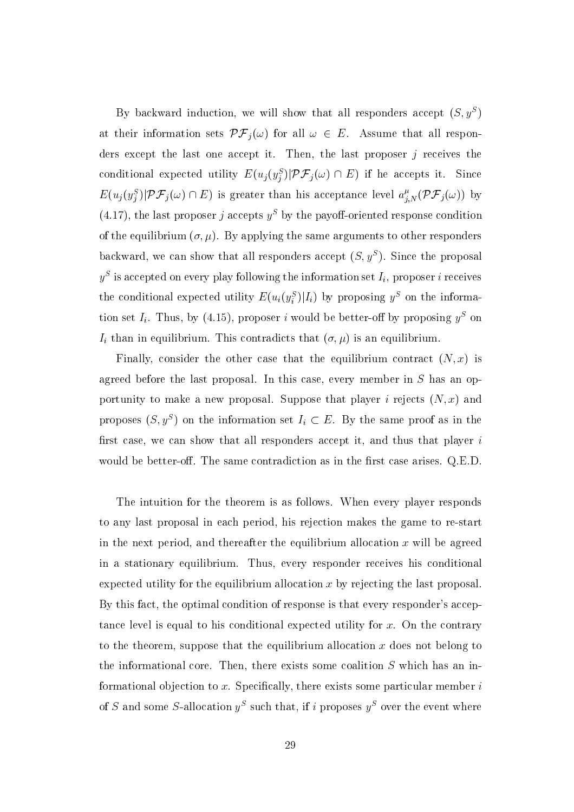By backward induction, we will show that all responders accept  $(S, y^S)$ at their information sets  $\mathcal{PF}_j(\omega)$  for all  $\omega \in E$ . Assume that all responders except the last one accept it. Then, the last proposer  $j$  receives the conditional expected utility  $E(u_j(y_j^S)|\mathcal{PF}_j(\omega) \cap E)$  if he accepts it. Since  $E(u_j(y_j^S)|\mathcal{PF}_j(\omega) \cap E)$  is greater than his acceptance level  $a_{j,N}^{\mu}(\mathcal{PF}_j(\omega))$  by (4.17), the last proposer j accepts  $y^S$  by the payoff-oriented response condition of the equilibrium  $(\sigma, \mu)$ . By applying the same arguments to other responders backward, we can show that all responders accept  $(S, y^S)$ . Since the proposal  $y^S$  is accepted on every play following the information set  $I_i$ , proposer i receives the conditional expected utility  $E(u_i(y_i^S)|I_i)$  by proposing  $y^S$  on the information set  $I_i$ . Thus, by (4.15), proposer i would be better-off by proposing  $y^S$  on  $I_i$  than in equilibrium. This contradicts that  $(\sigma, \mu)$  is an equilibrium.

Finally, consider the other case that the equilibrium contract  $(N, x)$  is agreed before the last proposal. In this case, every member in  $S$  has an opportunity to make a new proposal. Suppose that player i rejects  $(N, x)$  and proposes  $(S, y^S)$  on the information set  $I_i \subset E$ . By the same proof as in the first case, we can show that all responders accept it, and thus that player i would be better-off. The same contradiction as in the first case arises. Q.E.D.

The intuition for the theorem is as follows. When every player responds to any last proposal in each period, his rejection makes the game to re-start in the next period, and thereafter the equilibrium allocation  $x$  will be agreed in a stationary equilibrium. Thus, every responder receives his conditional expected utility for the equilibrium allocation  $x$  by rejecting the last proposal. By this fact, the optimal condition of response is that every responder's acceptance level is equal to his conditional expected utility for  $x$ . On the contrary to the theorem, suppose that the equilibrium allocation  $x$  does not belong to the informational core. Then, there exists some coalition  $S$  which has an informational objection to x. Specifically, there exists some particular member  $i$ of S and some S-allocation  $y^S$  such that, if i proposes  $y^S$  over the event where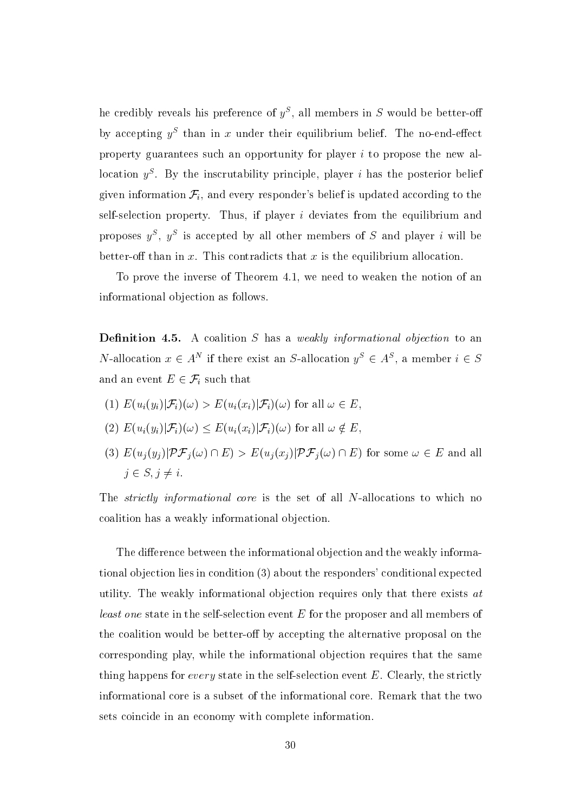he credibly reveals his preference of  $y^S$ , all members in S would be better-off by accepting  $y^S$  than in x under their equilibrium belief. The no-end-effect property guarantees such an opportunity for player  $i$  to propose the new allocation  $y^S$ . By the inscrutability principle, player *i* has the posterior belief given information  $\mathcal{F}_i$ , and every responder's belief is updated according to the self-selection property. Thus, if player  $i$  deviates from the equilibrium and proposes  $y^S$ ,  $y^S$  is accepted by all other members of S and player i will be better-off than in  $x$ . This contradicts that  $x$  is the equilibrium allocation.

To prove the inverse of Theorem 4.1, we need to weaken the notion of an informational objection as follows.

**Definition 4.5.** A coalition  $S$  has a weakly informational objection to an *N*-allocation  $x \in A^N$  if there exist an *S*-allocation  $y^S \in A^S$ , a member  $i \in S$ and an event  $E \in \mathcal{F}_i$  such that

- (1)  $E(u_i(y_i)|\mathcal{F}_i)(\omega) > E(u_i(x_i)|\mathcal{F}_i)(\omega)$  for all  $\omega \in E$ .
- (2)  $E(u_i(y_i)|\mathcal{F}_i)(\omega) \leq E(u_i(x_i)|\mathcal{F}_i)(\omega)$  for all  $\omega \notin E$
- (3)  $E(u_j(y_j)|\mathcal{PF}_j(\omega) \cap E) > E(u_j(x_j)|\mathcal{PF}_j(\omega) \cap E)$  for some  $\omega \in E$  and all  $j \in S, j \neq i$ .

The *strictly informational core* is the set of all N-allocations to which no coalition has a weakly informational objection.

The difference between the informational objection and the weakly informational objection lies in condition (3) about the responders' conditional expected utility. The weakly informational objection requires only that there exists at *least one* state in the self-selection event E for the proposer and all members of the coalition would be better-off by accepting the alternative proposal on the corresponding play, while the informational objection requires that the same thing happens for *every* state in the self-selection event  $E$ . Clearly, the strictly informational core is a subset of the informational core. Remark that the two sets coincide in an economy with complete information.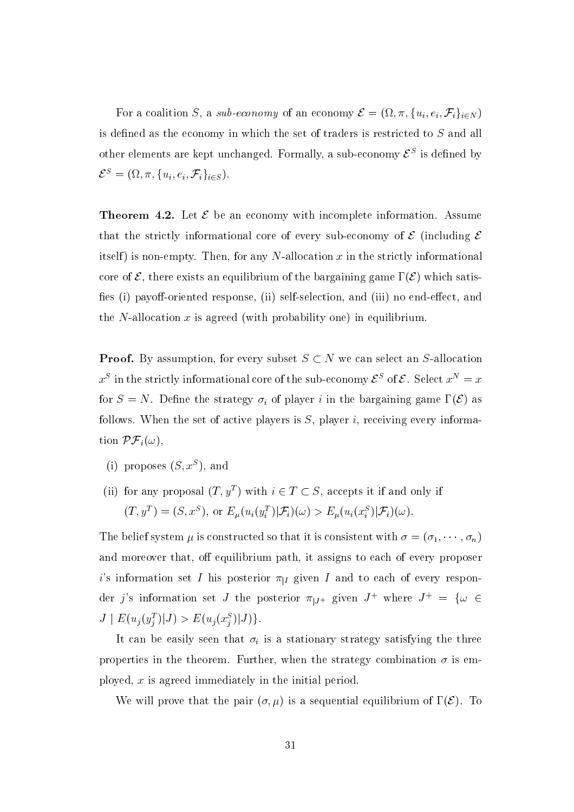For a coalition S, a sub-economy of an economy  $\mathcal{E} = (\Omega, \pi, \{u_i, e_i, \mathcal{F}_i\}_{i \in N})$ is defined as the economy in which the set of traders is restricted to S and all other elements are kept unchanged. Formally, a sub-economy  $\mathcal{E}^S$  is defined by  $\mathcal{E}^S = (\Omega, \pi, \{u_i, e_i, \mathcal{F}_i\}_{i \in S}).$ 

**Theorem 4.2.** Let  $\mathcal{E}$  be an economy with incomplete information. Assume that the strictly informational core of every sub-economy of  $\mathcal E$  (including  $\mathcal E$ itself) is non-empty. Then, for any N-allocation x in the strictly informational core of  $\mathcal E$ , there exists an equilibrium of the bargaining game  $\Gamma(\mathcal E)$  which satisfies (i) payoff-oriented response, (ii) self-selection, and (iii) no end-effect, and the N-allocation  $x$  is agreed (with probability one) in equilibrium.

**Proof.** By assumption, for every subset  $S \subset N$  we can select an S-allocation  $x^S$  in the strictly informational core of the sub-economy  $\mathcal{E}^S$  of  $\mathcal{E}$ . Select  $x^N = x$ for  $S = N$ . Define the strategy  $\sigma_i$  of player i in the bargaining game  $\Gamma(\mathcal{E})$  as follows. When the set of active players is  $S$ , player i, receiving every information  $\mathcal{PF}_i(\omega)$ ,

- (i) proposes  $(S, x^S)$ , and
- (ii) for any proposal  $(T, y^T)$  with  $i \in T \subset S$ , accepts it if and only if  $(T, y^T) = (S, x^S)$ , or  $E_\mu(u_i(y_i^T)|\mathcal{F}_i)(\omega) > E_\mu(u_i(x_i^S)|\mathcal{F}_i)(\omega)$ .

The belief system  $\mu$  is constructed so that it is consistent with  $\sigma = (\sigma_1, \dots, \sigma_n)$ and moreover that, off equilibrium path, it assigns to each of every proposer *i*'s information set *I* his posterior  $\pi_{|I}$  given *I* and to each of every responder j's information set J the posterior  $\pi_{|J^+|}$  given  $J^+$  where  $J^+ = \{ \omega \in$  $J | E(u_j(y_j^T)|J) > E(u_j(x_j^S)|J)$ .

It can be easily seen that  $\sigma_i$  is a stationary strategy satisfying the three properties in the theorem. Further, when the strategy combination  $\sigma$  is employed,  $x$  is agreed immediately in the initial period.

We will prove that the pair  $(\sigma, \mu)$  is a sequential equilibrium of  $\Gamma(\mathcal{E})$ . To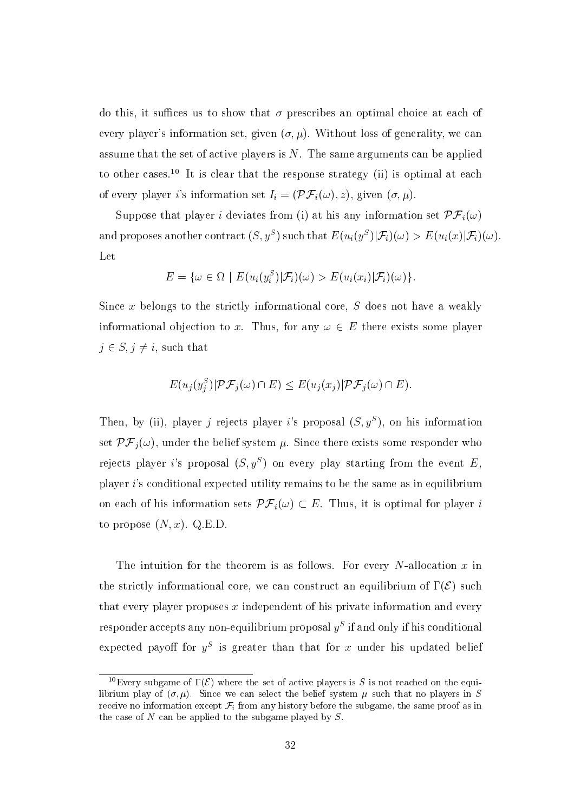do this, it suffices us to show that  $\sigma$  prescribes an optimal choice at each of every player's information set, given  $(\sigma, \mu)$ . Without loss of generality, we can assume that the set of active players is  $N$ . The same arguments can be applied to other cases.<sup>10</sup> It is clear that the response strategy (ii) is optimal at each of every player i's information set  $I_i = (\mathcal{PF}_i(\omega), z)$ , given  $(\sigma, \mu)$ .

Suppose that player *i* deviates from (i) at his any information set  $\mathcal{PF}_i(\omega)$ and proposes another contract  $(S, y^S)$  such that  $E(u_i(y^S)|\mathcal{F}_i)(\omega) > E(u_i(x)|\mathcal{F}_i)(\omega)$ . Let

$$
E = \{ \omega \in \Omega \mid E(u_i(y_i^S)|\mathcal{F}_i)(\omega) > E(u_i(x_i)|\mathcal{F}_i)(\omega) \}.
$$

Since  $x$  belongs to the strictly informational core,  $S$  does not have a weakly informational objection to x. Thus, for any  $\omega \in E$  there exists some player  $j \in S, j \neq i$ , such that

$$
E(u_j(y_j^S)|\mathcal{PF}_j(\omega) \cap E) \le E(u_j(x_j)|\mathcal{PF}_j(\omega) \cap E).
$$

Then, by (ii), player j rejects player i's proposal  $(S, y^S)$ , on his information set  $\mathcal{PF}_i(\omega)$ , under the belief system  $\mu$ . Since there exists some responder who rejects player i's proposal  $(S, y^S)$  on every play starting from the event E, player  $i$ 's conditional expected utility remains to be the same as in equilibrium on each of his information sets  $\mathcal{PF}_i(\omega) \subset E$ . Thus, it is optimal for player i to propose  $(N, x)$ . Q.E.D.

The intuition for the theorem is as follows. For every N-allocation x in the strictly informational core, we can construct an equilibrium of  $\Gamma(\mathcal{E})$  such that every player proposes  $x$  independent of his private information and every responder accepts any non-equilibrium proposal  $y<sup>S</sup>$  if and only if his conditional expected payoff for  $y^S$  is greater than that for x under his updated belief

<sup>&</sup>lt;sup>10</sup>Every subgame of  $\Gamma(\mathcal{E})$  where the set of active players is S is not reached on the equilibrium play of  $(\sigma, \mu)$ . Since we can select the belief system  $\mu$  such that no players in S receive no information except  $\mathcal{F}_i$  from any history before the subgame, the same proof as in the case of  $N$  can be applied to the subgame played by  $S$ .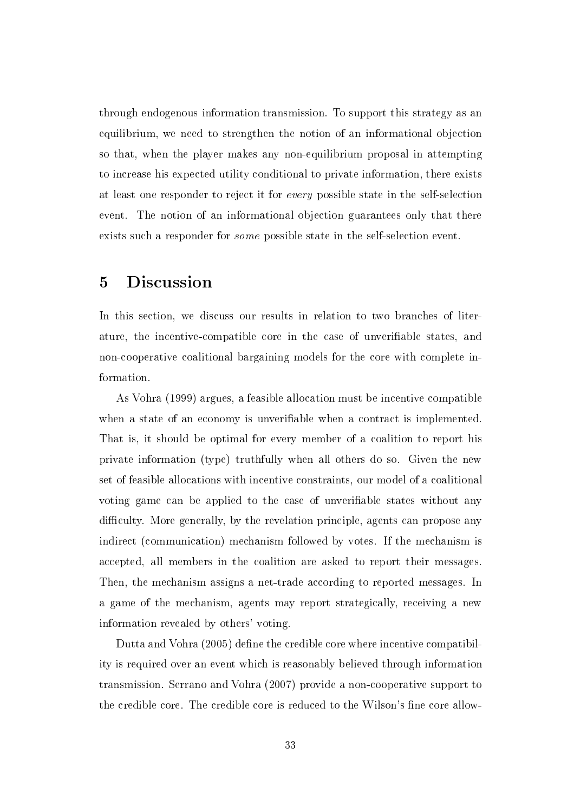through endogenous information transmission. To support this strategy as an equilibrium, we need to strengthen the notion of an informational objection so that, when the player makes any non-equilibrium proposal in attempting to increase his expected utility conditional to private information, there exists at least one responder to reject it for every possible state in the self-selection event. The notion of an informational objection guarantees only that there exists such a responder for *some* possible state in the self-selection event.

#### Discussion  $\overline{5}$

In this section, we discuss our results in relation to two branches of literature, the incentive-compatible core in the case of unverifiable states, and non-cooperative coalitional bargaining models for the core with complete information.

As Vohra (1999) argues, a feasible allocation must be incentive compatible when a state of an economy is unverifiable when a contract is implemented. That is, it should be optimal for every member of a coalition to report his private information (type) truthfully when all others do so. Given the new set of feasible allocations with incentive constraints, our model of a coalitional voting game can be applied to the case of unverifiable states without any difficulty. More generally, by the revelation principle, agents can propose any indirect (communication) mechanism followed by votes. If the mechanism is accepted, all members in the coalition are asked to report their messages. Then, the mechanism assigns a net-trade according to reported messages. In a game of the mechanism, agents may report strategically, receiving a new information revealed by others' voting.

Dutta and Vohra (2005) define the credible core where incentive compatibility is required over an event which is reasonably believed through information transmission. Serrano and Vohra (2007) provide a non-cooperative support to the credible core. The credible core is reduced to the Wilson's fine core allow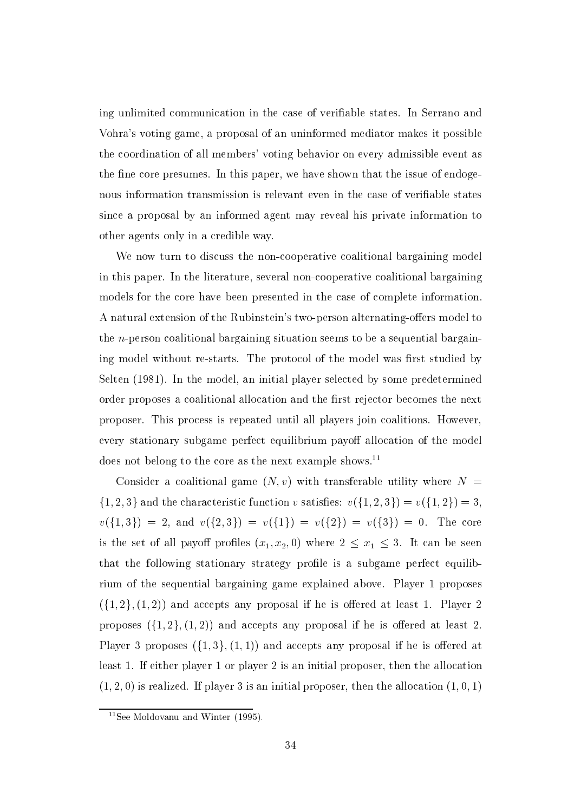ing unlimited communication in the case of verifiable states. In Serrano and Vohra's voting game, a proposal of an uninformed mediator makes it possible the coordination of all members' voting behavior on every admissible event as the fine core presumes. In this paper, we have shown that the issue of endogenous information transmission is relevant even in the case of verifiable states since a proposal by an informed agent may reveal his private information to other agents only in a credible way.

We now turn to discuss the non-cooperative coalitional bargaining model in this paper. In the literature, several non-cooperative coalitional bargaining models for the core have been presented in the case of complete information. A natural extension of the Rubinstein's two-person alternating-offers model to the *n*-person coalitional bargaining situation seems to be a sequential bargaining model without re-starts. The protocol of the model was first studied by Selten (1981). In the model, an initial player selected by some predetermined order proposes a coalitional allocation and the first rejector becomes the next proposer. This process is repeated until all players join coalitions. However, every stationary subgame perfect equilibrium payoff allocation of the model does not belong to the core as the next example shows.<sup>11</sup>

Consider a coalitional game  $(N, v)$  with transferable utility where  $N =$  $\{1,2,3\}$  and the characteristic function v satisfies:  $v(\{1,2,3\})=v(\{1,2\})=3$ ,  $v({1,3}) = 2$ , and  $v({2,3}) = v({1}) = v({2}) = v({3}) = 0$ . The core is the set of all payoff profiles  $(x_1, x_2, 0)$  where  $2 \le x_1 \le 3$ . It can be seen that the following stationary strategy profile is a subgame perfect equilibrium of the sequential bargaining game explained above. Player 1 proposes  $({1, 2}, (1, 2))$  and accepts any proposal if he is offered at least 1. Player 2 proposes  $({1, 2}, {1, 2})$  and accepts any proposal if he is offered at least 2. Player 3 proposes  $(\{1,3\}, (1,1))$  and accepts any proposal if he is offered at least 1. If either player 1 or player 2 is an initial proposer, then the allocation  $(1, 2, 0)$  is realized. If player 3 is an initial proposer, then the allocation  $(1, 0, 1)$ 

<sup>&</sup>lt;sup>11</sup>See Moldovanu and Winter  $(1995)$ .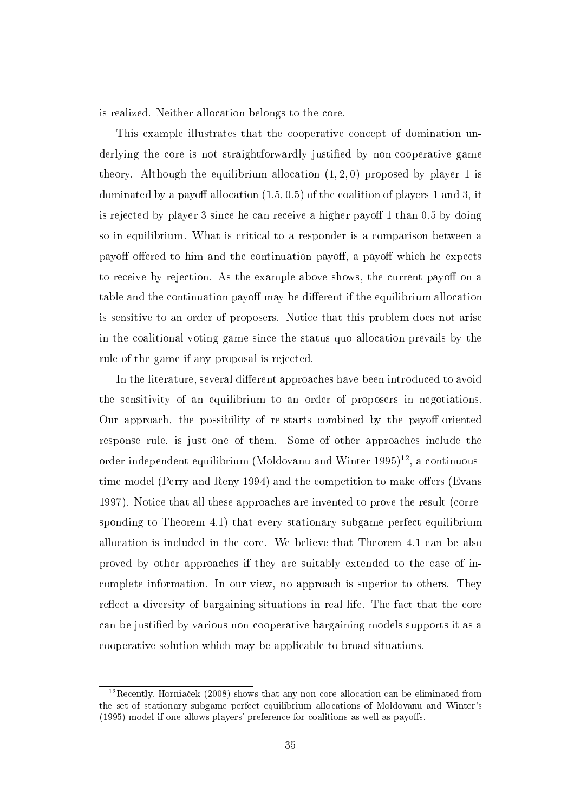is realized. Neither allocation belongs to the core.

This example illustrates that the cooperative concept of domination underlying the core is not straightforwardly justified by non-cooperative game theory. Although the equilibrium allocation  $(1, 2, 0)$  proposed by player 1 is dominated by a payoff allocation  $(1.5, 0.5)$  of the coalition of players 1 and 3, it is rejected by player 3 since he can receive a higher payoff 1 than 0.5 by doing so in equilibrium. What is critical to a responder is a comparison between a payoff offered to him and the continuation payoff, a payoff which he expects to receive by rejection. As the example above shows, the current payoff on a table and the continuation payoff may be different if the equilibrium allocation is sensitive to an order of proposers. Notice that this problem does not arise in the coalitional voting game since the status-quo allocation prevails by the rule of the game if any proposal is rejected.

In the literature, several different approaches have been introduced to avoid the sensitivity of an equilibrium to an order of proposers in negotiations. Our approach, the possibility of re-starts combined by the payoff-oriented response rule, is just one of them. Some of other approaches include the order-independent equilibrium (Moldovanu and Winter  $1995$ )<sup>12</sup>, a continuoustime model (Perry and Reny 1994) and the competition to make offers (Evans 1997). Notice that all these approaches are invented to prove the result (corresponding to Theorem 4.1) that every stationary subgame perfect equilibrium allocation is included in the core. We believe that Theorem 4.1 can be also proved by other approaches if they are suitably extended to the case of incomplete information. In our view, no approach is superior to others. They reflect a diversity of bargaining situations in real life. The fact that the core can be justified by various non-cooperative bargaining models supports it as a cooperative solution which may be applicable to broad situations.

<sup>&</sup>lt;sup>12</sup>Recently, Horniacek (2008) shows that any non core-allocation can be eliminated from the set of stationary subgame perfect equilibrium allocations of Moldovanu and Winter's (1995) model if one allows players' preference for coalitions as well as payoffs.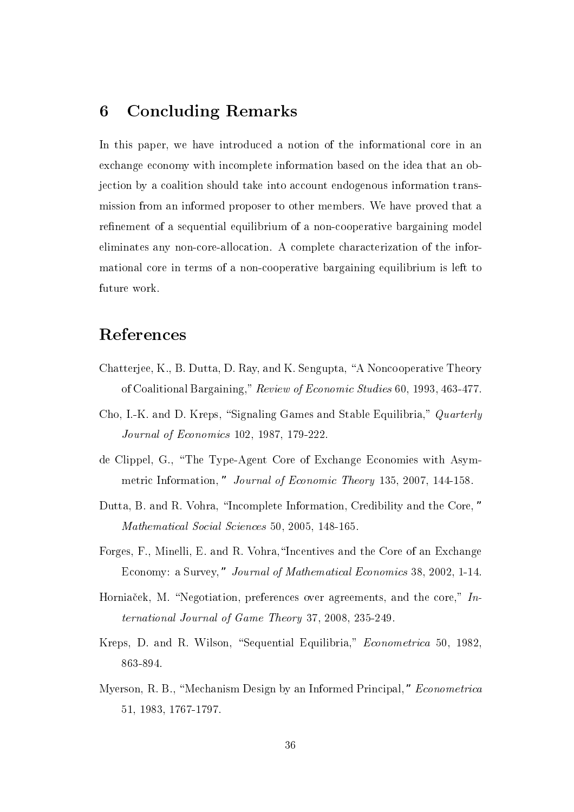#### **Concluding Remarks** 6

In this paper, we have introduced a notion of the informational core in an exchange economy with incomplete information based on the idea that an objection by a coalition should take into account endogenous information transmission from an informed proposer to other members. We have proved that a refinement of a sequential equilibrium of a non-cooperative bargaining model eliminates any non-core-allocation. A complete characterization of the informational core in terms of a non-cooperative bargaining equilibrium is left to future work.

## References

- Chatterjee, K., B. Dutta, D. Ray, and K. Sengupta, "A Noncooperative Theory of Coalitional Bargaining," Review of Economic Studies 60, 1993, 463-477.
- Cho, I.-K. and D. Kreps, "Signaling Games and Stable Equilibria," Quarterly Journal of Economics 102, 1987, 179-222.
- de Clippel, G., "The Type-Agent Core of Exchange Economies with Asymmetric Information," Journal of Economic Theory 135, 2007, 144-158.
- Dutta, B. and R. Vohra, "Incomplete Information, Credibility and the Core," Mathematical Social Sciences 50, 2005, 148-165.
- Forges, F., Minelli, E. and R. Vohra, "Incentives and the Core of an Exchange Economy: a Survey," Journal of Mathematical Economics 38, 2002, 1-14.
- Horniacek, M. "Negotiation, preferences over agreements, and the core," International Journal of Game Theory 37, 2008, 235-249.
- Kreps, D. and R. Wilson, "Sequential Equilibria," Econometrica 50, 1982, 863-894.
- Myerson, R. B., "Mechanism Design by an Informed Principal," Econometrica 51, 1983, 1767-1797.